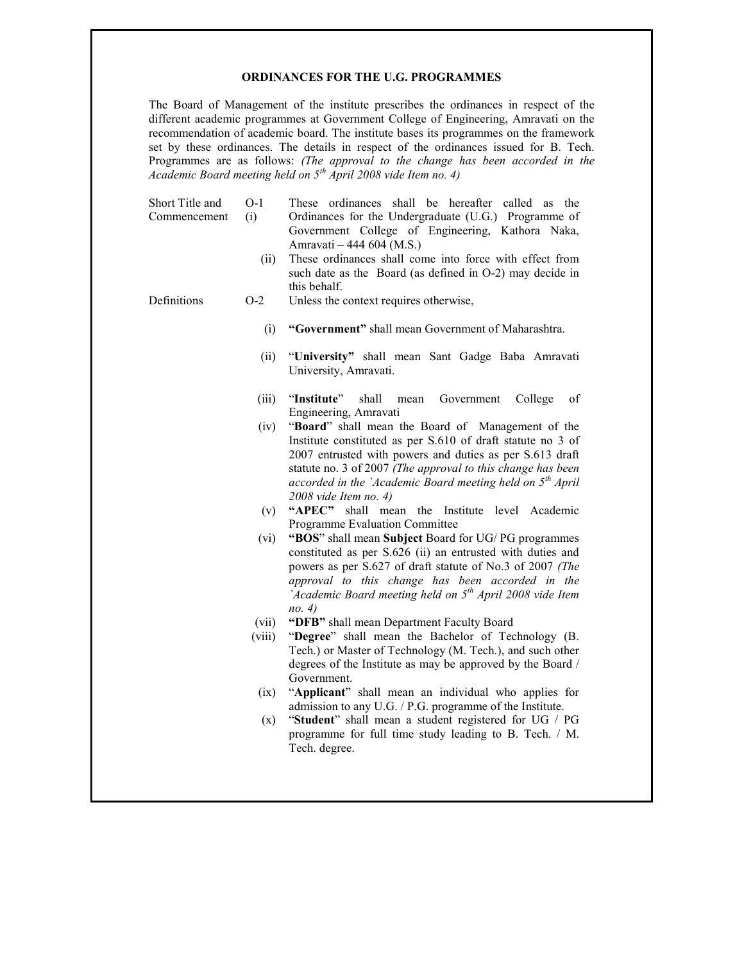#### ORDINANCES FOR THE U.G. PROGRAMMES

The Board of Management of the institute prescribes the ordinances in respect of the different academic programmes at Government College of Engineering, Amravati on the recommendation of academic board. The institute bases its programmes on the framework set by these ordinances. The details in respect of the ordinances issued for B. Tech. Programmes are as follows: (The approval to the change has been accorded in the Academic Board meeting held on  $5<sup>th</sup>$  April 2008 vide Item no. 4)

| Short Title and<br>Commencement | $O-1$<br>(i)<br>(ii) | These ordinances shall be hereafter called as the<br>Ordinances for the Undergraduate (U.G.) Programme of<br>Government College of Engineering, Kathora Naka,<br>Amravati – 444 604 (M.S.)<br>These ordinances shall come into force with effect from<br>such date as the Board (as defined in O-2) may decide in<br>this behalf.        |
|---------------------------------|----------------------|------------------------------------------------------------------------------------------------------------------------------------------------------------------------------------------------------------------------------------------------------------------------------------------------------------------------------------------|
| Definitions                     | $O-2$                | Unless the context requires otherwise,                                                                                                                                                                                                                                                                                                   |
|                                 | (i)                  | "Government" shall mean Government of Maharashtra.                                                                                                                                                                                                                                                                                       |
|                                 | (ii)                 | "University" shall mean Sant Gadge Baba Amravati<br>University, Amravati.                                                                                                                                                                                                                                                                |
|                                 | (iii)                | "Institute" shall mean Government<br>College<br>of<br>Engineering, Amravati                                                                                                                                                                                                                                                              |
|                                 |                      | (iv) "Board" shall mean the Board of Management of the<br>Institute constituted as per S.610 of draft statute no 3 of<br>2007 entrusted with powers and duties as per S.613 draft<br>statute no. 3 of 2007 (The approval to this change has been<br>accorded in the `Academic Board meeting held on $5th$ April<br>2008 vide Item no. 4) |
|                                 | (v)                  | "APEC" shall mean the Institute level Academic<br>Programme Evaluation Committee                                                                                                                                                                                                                                                         |
|                                 | (vi)                 | "BOS" shall mean Subject Board for UG/PG programmes<br>constituted as per S.626 (ii) an entrusted with duties and<br>powers as per S.627 of draft statute of No.3 of 2007 (The                                                                                                                                                           |

- approval to this change has been accorded in the `Academic Board meeting held on  $5<sup>th</sup>$  April 2008 vide Item no. 4)
- (vii) "DFB" shall mean Department Faculty Board
- (viii) "Degree" shall mean the Bachelor of Technology (B. Tech.) or Master of Technology (M. Tech.), and such other degrees of the Institute as may be approved by the Board / Government.
- (ix) "Applicant" shall mean an individual who applies for admission to any U.G. / P.G. programme of the Institute.
- (x) "Student" shall mean a student registered for UG / PG programme for full time study leading to B. Tech. / M. Tech. degree.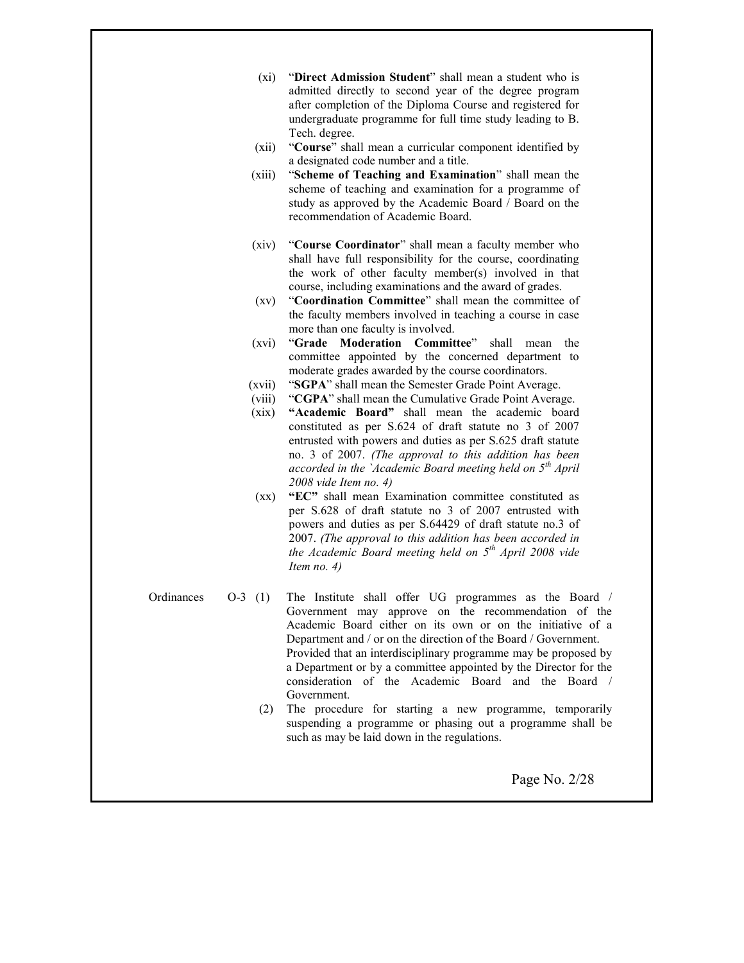- (xi) "Direct Admission Student" shall mean a student who is admitted directly to second year of the degree program after completion of the Diploma Course and registered for undergraduate programme for full time study leading to B. Tech. degree.
- (xii) "Course" shall mean a curricular component identified by a designated code number and a title.
- (xiii) "Scheme of Teaching and Examination" shall mean the scheme of teaching and examination for a programme of study as approved by the Academic Board / Board on the recommendation of Academic Board.
- (xiv) "Course Coordinator" shall mean a faculty member who shall have full responsibility for the course, coordinating the work of other faculty member(s) involved in that course, including examinations and the award of grades.
- (xv) "Coordination Committee" shall mean the committee of the faculty members involved in teaching a course in case more than one faculty is involved.
- (xvi) "Grade Moderation Committee" shall mean the committee appointed by the concerned department to moderate grades awarded by the course coordinators.
- (xvii) "SGPA" shall mean the Semester Grade Point Average.
- (viii) "CGPA" shall mean the Cumulative Grade Point Average.
- (xix) "Academic Board" shall mean the academic board constituted as per S.624 of draft statute no 3 of 2007 entrusted with powers and duties as per S.625 draft statute no. 3 of 2007. (The approval to this addition has been accorded in the `Academic Board meeting held on  $5<sup>th</sup>$  April 2008 vide Item no. 4)
- (xx) "EC" shall mean Examination committee constituted as per S.628 of draft statute no 3 of 2007 entrusted with powers and duties as per S.64429 of draft statute no.3 of 2007. (The approval to this addition has been accorded in the Academic Board meeting held on  $5<sup>th</sup>$  April 2008 vide Item no. 4)
- Ordinances O-3 (1) The Institute shall offer UG programmes as the Board / Government may approve on the recommendation of the Academic Board either on its own or on the initiative of a Department and / or on the direction of the Board / Government. Provided that an interdisciplinary programme may be proposed by a Department or by a committee appointed by the Director for the consideration of the Academic Board and the Board / Government.
	- (2) The procedure for starting a new programme, temporarily suspending a programme or phasing out a programme shall be such as may be laid down in the regulations.

Page No. 2/28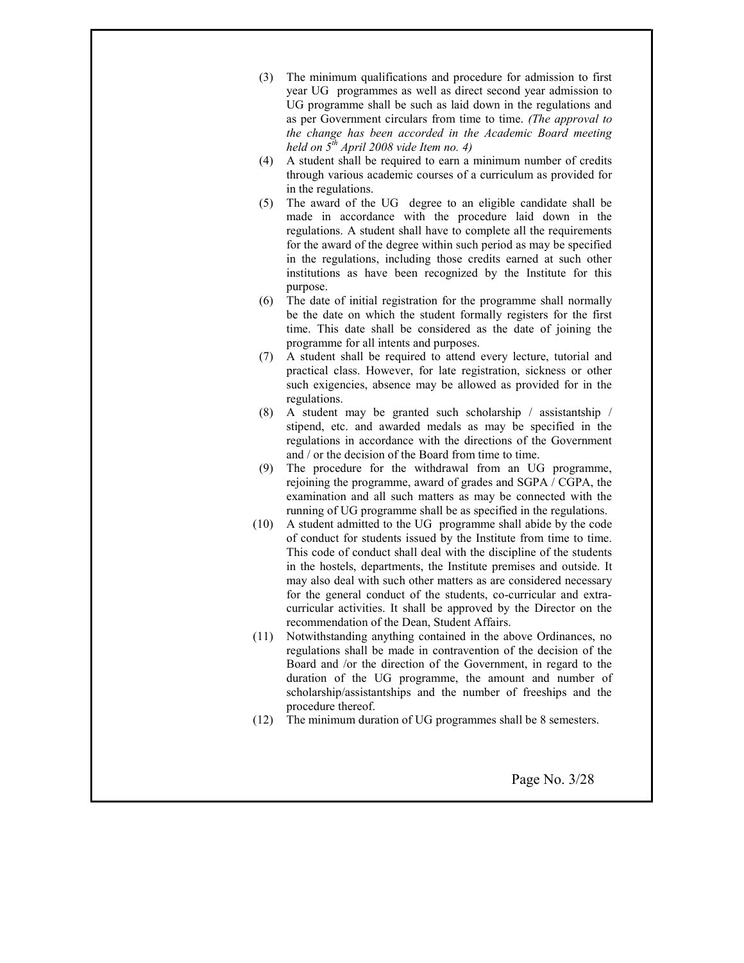- (3) The minimum qualifications and procedure for admission to first year UG programmes as well as direct second year admission to UG programme shall be such as laid down in the regulations and as per Government circulars from time to time. (The approval to the change has been accorded in the Academic Board meeting held on  $5^{th}$  April 2008 vide Item no. 4)
- (4) A student shall be required to earn a minimum number of credits through various academic courses of a curriculum as provided for in the regulations.
- (5) The award of the UG degree to an eligible candidate shall be made in accordance with the procedure laid down in the regulations. A student shall have to complete all the requirements for the award of the degree within such period as may be specified in the regulations, including those credits earned at such other institutions as have been recognized by the Institute for this purpose.
- (6) The date of initial registration for the programme shall normally be the date on which the student formally registers for the first time. This date shall be considered as the date of joining the programme for all intents and purposes.
- (7) A student shall be required to attend every lecture, tutorial and practical class. However, for late registration, sickness or other such exigencies, absence may be allowed as provided for in the regulations.
- (8) A student may be granted such scholarship / assistantship / stipend, etc. and awarded medals as may be specified in the regulations in accordance with the directions of the Government and / or the decision of the Board from time to time.
- (9) The procedure for the withdrawal from an UG programme, rejoining the programme, award of grades and SGPA / CGPA, the examination and all such matters as may be connected with the running of UG programme shall be as specified in the regulations.
- (10) A student admitted to the UG programme shall abide by the code of conduct for students issued by the Institute from time to time. This code of conduct shall deal with the discipline of the students in the hostels, departments, the Institute premises and outside. It may also deal with such other matters as are considered necessary for the general conduct of the students, co-curricular and extracurricular activities. It shall be approved by the Director on the recommendation of the Dean, Student Affairs.
- (11) Notwithstanding anything contained in the above Ordinances, no regulations shall be made in contravention of the decision of the Board and /or the direction of the Government, in regard to the duration of the UG programme, the amount and number of scholarship/assistantships and the number of freeships and the procedure thereof.
- (12) The minimum duration of UG programmes shall be 8 semesters.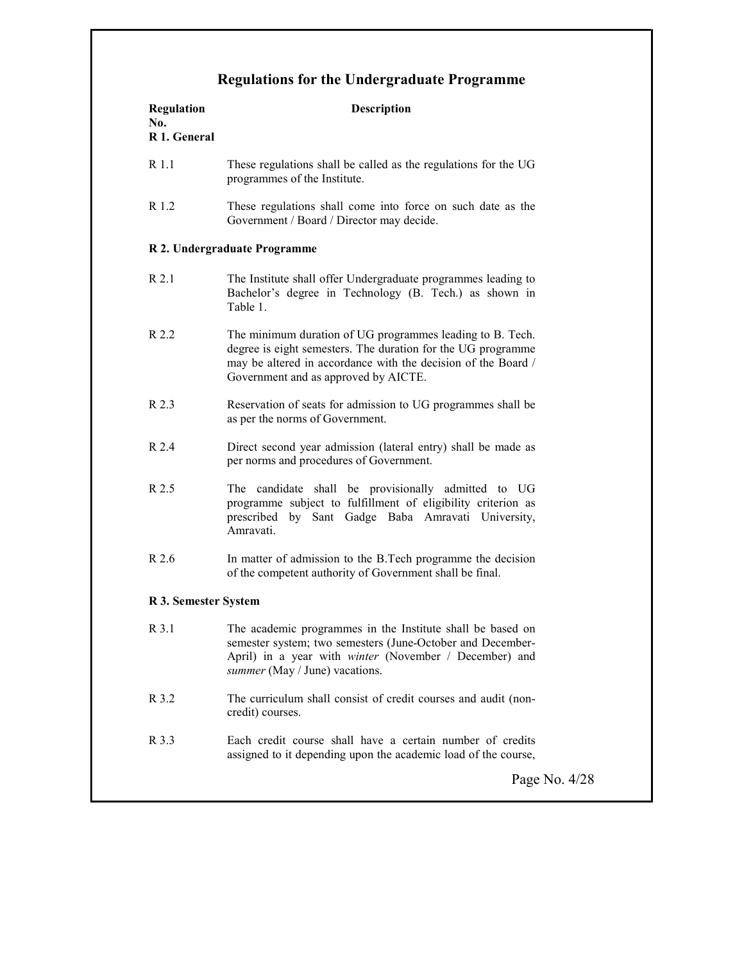# Regulations for the Undergraduate Programme

| R 1.1<br>These regulations shall be called as the regulations for the UG<br>programmes of the Institute.<br>R 1.2<br>These regulations shall come into force on such date as the<br>Government / Board / Director may decide.<br>R 2. Undergraduate Programme<br>R 2.1<br>The Institute shall offer Undergraduate programmes leading to<br>Bachelor's degree in Technology (B. Tech.) as shown in<br>Table 1.<br>R 2.2<br>The minimum duration of UG programmes leading to B. Tech.<br>degree is eight semesters. The duration for the UG programme<br>may be altered in accordance with the decision of the Board /<br>Government and as approved by AICTE.<br>R 2.3<br>Reservation of seats for admission to UG programmes shall be<br>as per the norms of Government.<br>R 2.4<br>Direct second year admission (lateral entry) shall be made as<br>per norms and procedures of Government.<br>R 2.5<br>The candidate shall be provisionally admitted to UG<br>programme subject to fulfillment of eligibility criterion as<br>prescribed by Sant Gadge Baba Amravati University,<br>Amravati.<br>R 2.6<br>In matter of admission to the B.Tech programme the decision<br>of the competent authority of Government shall be final.<br>R 3. Semester System<br>R 3.1<br>The academic programmes in the Institute shall be based on<br>semester system; two semesters (June-October and December-<br>April) in a year with winter (November / December) and<br>summer (May / June) vacations.<br>R 3.2<br>The curriculum shall consist of credit courses and audit (non-<br>credit) courses.<br>R 3.3<br>Each credit course shall have a certain number of credits<br>assigned to it depending upon the academic load of the course,<br>Page No. | <b>Regulation</b><br>No.<br>R 1. General | <b>Description</b> |
|--------------------------------------------------------------------------------------------------------------------------------------------------------------------------------------------------------------------------------------------------------------------------------------------------------------------------------------------------------------------------------------------------------------------------------------------------------------------------------------------------------------------------------------------------------------------------------------------------------------------------------------------------------------------------------------------------------------------------------------------------------------------------------------------------------------------------------------------------------------------------------------------------------------------------------------------------------------------------------------------------------------------------------------------------------------------------------------------------------------------------------------------------------------------------------------------------------------------------------------------------------------------------------------------------------------------------------------------------------------------------------------------------------------------------------------------------------------------------------------------------------------------------------------------------------------------------------------------------------------------------------------------------------------------------------------------------------------------------------------------------|------------------------------------------|--------------------|
|                                                                                                                                                                                                                                                                                                                                                                                                                                                                                                                                                                                                                                                                                                                                                                                                                                                                                                                                                                                                                                                                                                                                                                                                                                                                                                                                                                                                                                                                                                                                                                                                                                                                                                                                                  |                                          |                    |
|                                                                                                                                                                                                                                                                                                                                                                                                                                                                                                                                                                                                                                                                                                                                                                                                                                                                                                                                                                                                                                                                                                                                                                                                                                                                                                                                                                                                                                                                                                                                                                                                                                                                                                                                                  |                                          |                    |
|                                                                                                                                                                                                                                                                                                                                                                                                                                                                                                                                                                                                                                                                                                                                                                                                                                                                                                                                                                                                                                                                                                                                                                                                                                                                                                                                                                                                                                                                                                                                                                                                                                                                                                                                                  |                                          |                    |
|                                                                                                                                                                                                                                                                                                                                                                                                                                                                                                                                                                                                                                                                                                                                                                                                                                                                                                                                                                                                                                                                                                                                                                                                                                                                                                                                                                                                                                                                                                                                                                                                                                                                                                                                                  |                                          |                    |
|                                                                                                                                                                                                                                                                                                                                                                                                                                                                                                                                                                                                                                                                                                                                                                                                                                                                                                                                                                                                                                                                                                                                                                                                                                                                                                                                                                                                                                                                                                                                                                                                                                                                                                                                                  |                                          |                    |
|                                                                                                                                                                                                                                                                                                                                                                                                                                                                                                                                                                                                                                                                                                                                                                                                                                                                                                                                                                                                                                                                                                                                                                                                                                                                                                                                                                                                                                                                                                                                                                                                                                                                                                                                                  |                                          |                    |
|                                                                                                                                                                                                                                                                                                                                                                                                                                                                                                                                                                                                                                                                                                                                                                                                                                                                                                                                                                                                                                                                                                                                                                                                                                                                                                                                                                                                                                                                                                                                                                                                                                                                                                                                                  |                                          |                    |
|                                                                                                                                                                                                                                                                                                                                                                                                                                                                                                                                                                                                                                                                                                                                                                                                                                                                                                                                                                                                                                                                                                                                                                                                                                                                                                                                                                                                                                                                                                                                                                                                                                                                                                                                                  |                                          |                    |
|                                                                                                                                                                                                                                                                                                                                                                                                                                                                                                                                                                                                                                                                                                                                                                                                                                                                                                                                                                                                                                                                                                                                                                                                                                                                                                                                                                                                                                                                                                                                                                                                                                                                                                                                                  |                                          |                    |
|                                                                                                                                                                                                                                                                                                                                                                                                                                                                                                                                                                                                                                                                                                                                                                                                                                                                                                                                                                                                                                                                                                                                                                                                                                                                                                                                                                                                                                                                                                                                                                                                                                                                                                                                                  |                                          |                    |
|                                                                                                                                                                                                                                                                                                                                                                                                                                                                                                                                                                                                                                                                                                                                                                                                                                                                                                                                                                                                                                                                                                                                                                                                                                                                                                                                                                                                                                                                                                                                                                                                                                                                                                                                                  |                                          |                    |
|                                                                                                                                                                                                                                                                                                                                                                                                                                                                                                                                                                                                                                                                                                                                                                                                                                                                                                                                                                                                                                                                                                                                                                                                                                                                                                                                                                                                                                                                                                                                                                                                                                                                                                                                                  |                                          |                    |
|                                                                                                                                                                                                                                                                                                                                                                                                                                                                                                                                                                                                                                                                                                                                                                                                                                                                                                                                                                                                                                                                                                                                                                                                                                                                                                                                                                                                                                                                                                                                                                                                                                                                                                                                                  |                                          |                    |
|                                                                                                                                                                                                                                                                                                                                                                                                                                                                                                                                                                                                                                                                                                                                                                                                                                                                                                                                                                                                                                                                                                                                                                                                                                                                                                                                                                                                                                                                                                                                                                                                                                                                                                                                                  |                                          |                    |

 $4/28$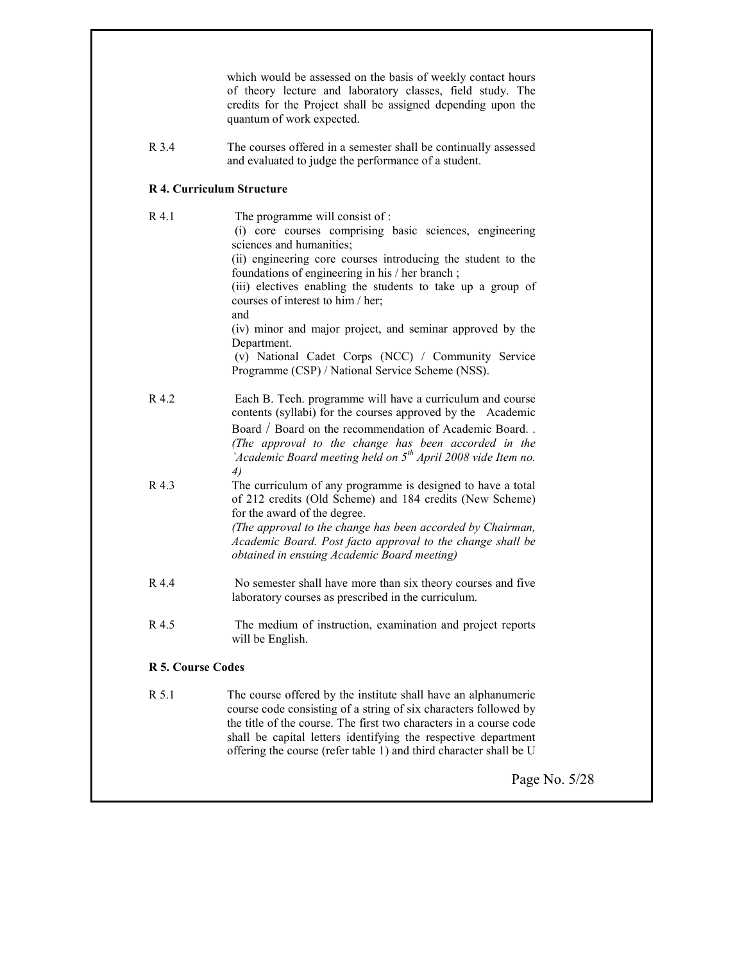|                          | which would be assessed on the basis of weekly contact hours<br>of theory lecture and laboratory classes, field study. The<br>credits for the Project shall be assigned depending upon the<br>quantum of work expected.                                                                                                                                                                                                         |
|--------------------------|---------------------------------------------------------------------------------------------------------------------------------------------------------------------------------------------------------------------------------------------------------------------------------------------------------------------------------------------------------------------------------------------------------------------------------|
| R 3.4                    | The courses offered in a semester shall be continually assessed<br>and evaluated to judge the performance of a student.                                                                                                                                                                                                                                                                                                         |
|                          | <b>R 4. Curriculum Structure</b>                                                                                                                                                                                                                                                                                                                                                                                                |
| R 4.1                    | The programme will consist of:<br>(i) core courses comprising basic sciences, engineering<br>sciences and humanities;<br>(ii) engineering core courses introducing the student to the<br>foundations of engineering in his / her branch;<br>(iii) electives enabling the students to take up a group of<br>courses of interest to him / her;<br>and<br>(iv) minor and major project, and seminar approved by the<br>Department. |
|                          | (v) National Cadet Corps (NCC) / Community Service<br>Programme (CSP) / National Service Scheme (NSS).                                                                                                                                                                                                                                                                                                                          |
| R 4.2                    | Each B. Tech. programme will have a curriculum and course<br>contents (syllabi) for the courses approved by the Academic<br>Board / Board on the recommendation of Academic Board<br>(The approval to the change has been accorded in the<br>'Academic Board meeting held on $5th$ April 2008 vide Item no.<br>4)                                                                                                               |
| R 4.3                    | The curriculum of any programme is designed to have a total<br>of 212 credits (Old Scheme) and 184 credits (New Scheme)<br>for the award of the degree.<br>(The approval to the change has been accorded by Chairman,<br>Academic Board. Post facto approval to the change shall be<br>obtained in ensuing Academic Board meeting)                                                                                              |
| R 4.4                    | No semester shall have more than six theory courses and five<br>laboratory courses as prescribed in the curriculum.                                                                                                                                                                                                                                                                                                             |
| R 4.5                    | The medium of instruction, examination and project reports<br>will be English.                                                                                                                                                                                                                                                                                                                                                  |
| <b>R 5. Course Codes</b> |                                                                                                                                                                                                                                                                                                                                                                                                                                 |
| R 5.1                    | The course offered by the institute shall have an alphanumeric<br>course code consisting of a string of six characters followed by<br>the title of the course. The first two characters in a course code<br>shall be capital letters identifying the respective department<br>offering the course (refer table 1) and third character shall be U                                                                                |
|                          | Page No. 5/28                                                                                                                                                                                                                                                                                                                                                                                                                   |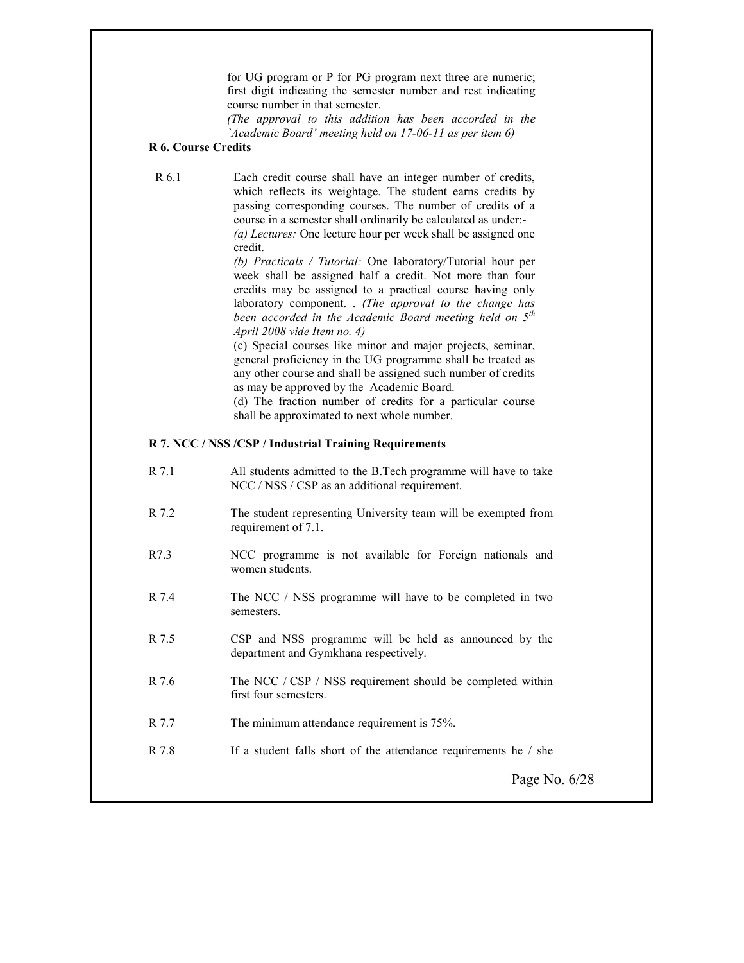for UG program or P for PG program next three are numeric; first digit indicating the semester number and rest indicating course number in that semester.

(The approval to this addition has been accorded in the `Academic Board' meeting held on 17-06-11 as per item 6)

# R 6. Course Credits

R 6.1 Each credit course shall have an integer number of credits, which reflects its weightage. The student earns credits by passing corresponding courses. The number of credits of a course in a semester shall ordinarily be calculated as under:- (a) Lectures: One lecture hour per week shall be assigned one credit.

> (b) Practicals / Tutorial: One laboratory/Tutorial hour per week shall be assigned half a credit. Not more than four credits may be assigned to a practical course having only laboratory component. . (The approval to the change has been accorded in the Academic Board meeting held on  $5<sup>th</sup>$ April 2008 vide Item no. 4)

> (c) Special courses like minor and major projects, seminar, general proficiency in the UG programme shall be treated as any other course and shall be assigned such number of credits as may be approved by the Academic Board.

> (d) The fraction number of credits for a particular course shall be approximated to next whole number.

## R 7. NCC / NSS /CSP / Industrial Training Requirements

- R 7.1 All students admitted to the B.Tech programme will have to take NCC / NSS / CSP as an additional requirement.
- R 7.2 The student representing University team will be exempted from requirement of 7.1.
- R7.3 NCC programme is not available for Foreign nationals and women students.
- R 7.4 The NCC / NSS programme will have to be completed in two semesters.
- R 7.5 CSP and NSS programme will be held as announced by the department and Gymkhana respectively.
- R 7.6 The NCC / CSP / NSS requirement should be completed within first four semesters.
- R 7.7 The minimum attendance requirement is 75%.
- R 7.8 If a student falls short of the attendance requirements he / she

Page No. 6/28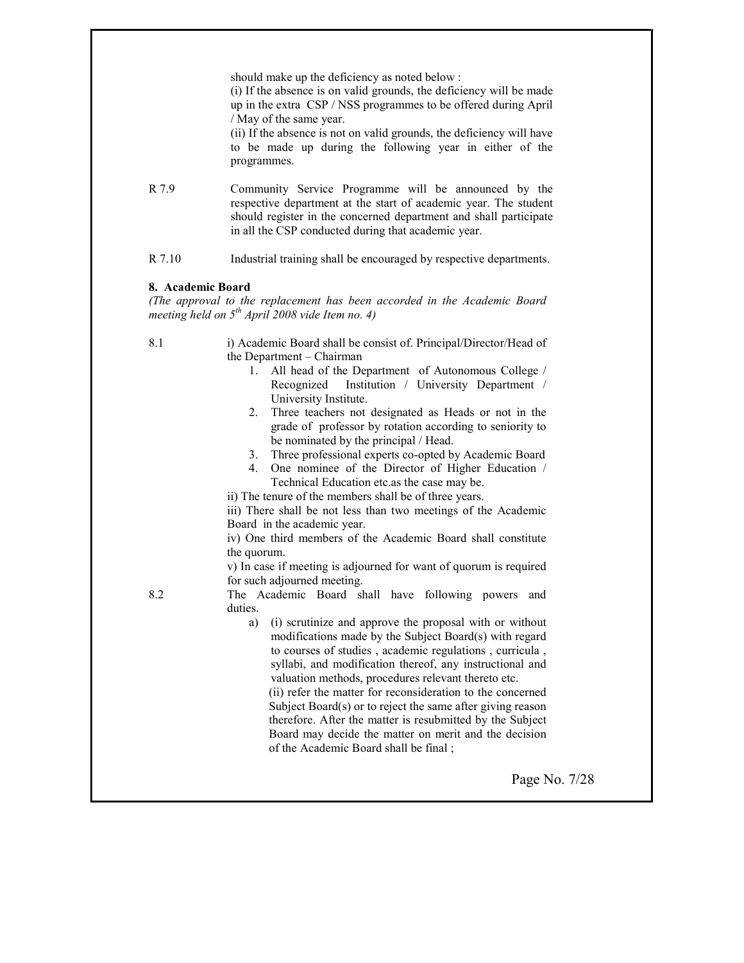|                   | should make up the deficiency as noted below :<br>(i) If the absence is on valid grounds, the deficiency will be made<br>up in the extra CSP / NSS programmes to be offered during April<br>/ May of the same year.<br>(ii) If the absence is not on valid grounds, the deficiency will have<br>to be made up during the following year in either of the<br>programmes.                                                                                                                                                                                                                                                                                                                                                                                                                                                                                                                                                                                                                                                                                                                                                                                                                                                                                                                               |
|-------------------|-------------------------------------------------------------------------------------------------------------------------------------------------------------------------------------------------------------------------------------------------------------------------------------------------------------------------------------------------------------------------------------------------------------------------------------------------------------------------------------------------------------------------------------------------------------------------------------------------------------------------------------------------------------------------------------------------------------------------------------------------------------------------------------------------------------------------------------------------------------------------------------------------------------------------------------------------------------------------------------------------------------------------------------------------------------------------------------------------------------------------------------------------------------------------------------------------------------------------------------------------------------------------------------------------------|
| R 7.9             | Community Service Programme will be announced by the<br>respective department at the start of academic year. The student<br>should register in the concerned department and shall participate<br>in all the CSP conducted during that academic year.                                                                                                                                                                                                                                                                                                                                                                                                                                                                                                                                                                                                                                                                                                                                                                                                                                                                                                                                                                                                                                                  |
| R 7.10            | Industrial training shall be encouraged by respective departments.                                                                                                                                                                                                                                                                                                                                                                                                                                                                                                                                                                                                                                                                                                                                                                                                                                                                                                                                                                                                                                                                                                                                                                                                                                    |
| 8. Academic Board | (The approval to the replacement has been accorded in the Academic Board<br>meeting held on $5^{th}$ April 2008 vide Item no. 4)                                                                                                                                                                                                                                                                                                                                                                                                                                                                                                                                                                                                                                                                                                                                                                                                                                                                                                                                                                                                                                                                                                                                                                      |
| 8.1<br>8.2        | i) Academic Board shall be consist of. Principal/Director/Head of<br>the Department - Chairman<br>1. All head of the Department of Autonomous College /<br>Recognized Institution / University Department /<br>University Institute.<br>Three teachers not designated as Heads or not in the<br>2.<br>grade of professor by rotation according to seniority to<br>be nominated by the principal / Head.<br>3. Three professional experts co-opted by Academic Board<br>One nominee of the Director of Higher Education /<br>4.<br>Technical Education etc.as the case may be.<br>ii) The tenure of the members shall be of three years.<br>iii) There shall be not less than two meetings of the Academic<br>Board in the academic year.<br>iv) One third members of the Academic Board shall constitute<br>the quorum.<br>v) In case if meeting is adjourned for want of quorum is required<br>for such adjourned meeting.<br>The Academic Board shall have following powers and<br>duties.<br>(i) scrutinize and approve the proposal with or without<br>a)<br>modifications made by the Subject Board(s) with regard<br>to courses of studies, academic regulations, curricula,<br>syllabi, and modification thereof, any instructional and<br>valuation methods, procedures relevant thereto etc. |
|                   | (ii) refer the matter for reconsideration to the concerned<br>Subject $Board(s)$ or to reject the same after giving reason<br>therefore. After the matter is resubmitted by the Subject<br>Board may decide the matter on merit and the decision<br>of the Academic Board shall be final;                                                                                                                                                                                                                                                                                                                                                                                                                                                                                                                                                                                                                                                                                                                                                                                                                                                                                                                                                                                                             |
|                   | Page No. 7/28                                                                                                                                                                                                                                                                                                                                                                                                                                                                                                                                                                                                                                                                                                                                                                                                                                                                                                                                                                                                                                                                                                                                                                                                                                                                                         |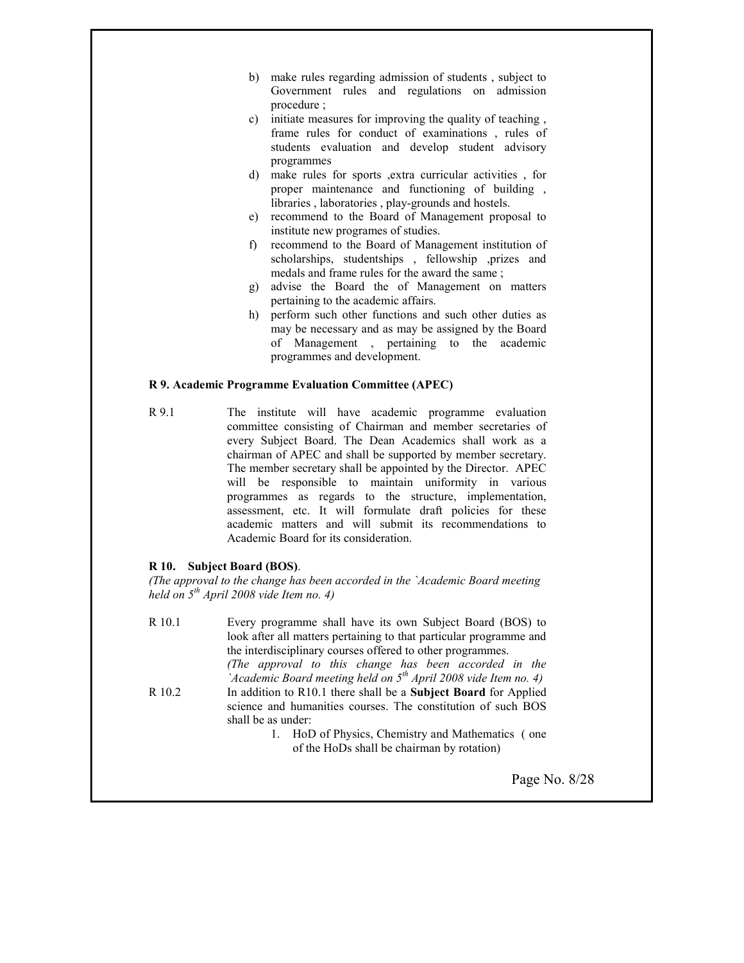- b) make rules regarding admission of students , subject to Government rules and regulations on admission procedure ;
- c) initiate measures for improving the quality of teaching , frame rules for conduct of examinations , rules of students evaluation and develop student advisory programmes
- d) make rules for sports ,extra curricular activities , for proper maintenance and functioning of building , libraries , laboratories , play-grounds and hostels.
- e) recommend to the Board of Management proposal to institute new programes of studies.
- f) recommend to the Board of Management institution of scholarships, studentships , fellowship ,prizes and medals and frame rules for the award the same ;
- g) advise the Board the of Management on matters pertaining to the academic affairs.
- h) perform such other functions and such other duties as may be necessary and as may be assigned by the Board of Management , pertaining to the academic programmes and development.

#### R 9. Academic Programme Evaluation Committee (APEC)

R 9.1 The institute will have academic programme evaluation committee consisting of Chairman and member secretaries of every Subject Board. The Dean Academics shall work as a chairman of APEC and shall be supported by member secretary. The member secretary shall be appointed by the Director. APEC will be responsible to maintain uniformity in various programmes as regards to the structure, implementation, assessment, etc. It will formulate draft policies for these academic matters and will submit its recommendations to Academic Board for its consideration.

#### R 10. Subject Board (BOS).

(The approval to the change has been accorded in the `Academic Board meeting held on  $5^{th}$  April 2008 vide Item no. 4)

R 10.1 Every programme shall have its own Subject Board (BOS) to look after all matters pertaining to that particular programme and the interdisciplinary courses offered to other programmes. (The approval to this change has been accorded in the  $\Delta$ Academic Board meeting held on  $5<sup>th</sup>$  April 2008 vide Item no. 4) R 10.2 In addition to R10.1 there shall be a Subject Board for Applied science and humanities courses. The constitution of such BOS shall be as under: 1. HoD of Physics, Chemistry and Mathematics ( one of the HoDs shall be chairman by rotation)

Page No. 8/28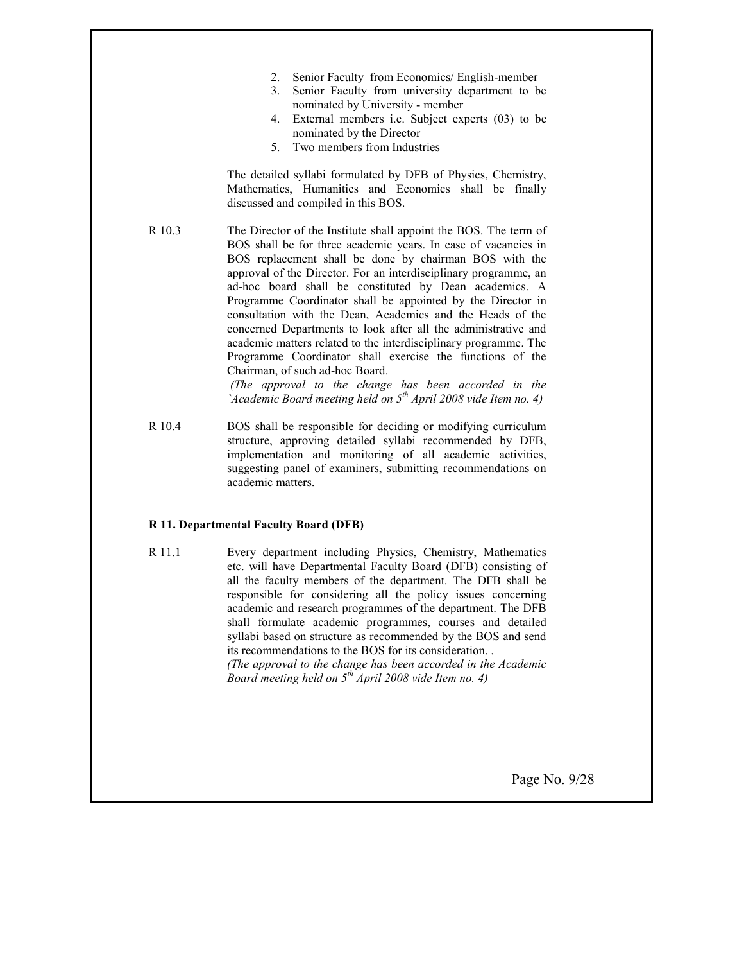- 2. Senior Faculty from Economics/ English-member
- 3. Senior Faculty from university department to be nominated by University - member
- 4. External members i.e. Subject experts (03) to be nominated by the Director
- 5. Two members from Industries

The detailed syllabi formulated by DFB of Physics, Chemistry, Mathematics, Humanities and Economics shall be finally discussed and compiled in this BOS.

R 10.3 The Director of the Institute shall appoint the BOS. The term of BOS shall be for three academic years. In case of vacancies in BOS replacement shall be done by chairman BOS with the approval of the Director. For an interdisciplinary programme, an ad-hoc board shall be constituted by Dean academics. A Programme Coordinator shall be appointed by the Director in consultation with the Dean, Academics and the Heads of the concerned Departments to look after all the administrative and academic matters related to the interdisciplinary programme. The Programme Coordinator shall exercise the functions of the Chairman, of such ad-hoc Board.

> (The approval to the change has been accorded in the `Academic Board meeting held on  $5<sup>th</sup>$  April 2008 vide Item no. 4)

R 10.4 BOS shall be responsible for deciding or modifying curriculum structure, approving detailed syllabi recommended by DFB, implementation and monitoring of all academic activities, suggesting panel of examiners, submitting recommendations on academic matters.

#### R 11. Departmental Faculty Board (DFB)

R 11.1 Every department including Physics, Chemistry, Mathematics etc. will have Departmental Faculty Board (DFB) consisting of all the faculty members of the department. The DFB shall be responsible for considering all the policy issues concerning academic and research programmes of the department. The DFB shall formulate academic programmes, courses and detailed syllabi based on structure as recommended by the BOS and send its recommendations to the BOS for its consideration. . (The approval to the change has been accorded in the Academic

Board meeting held on  $5^{th}$  April 2008 vide Item no. 4)

Page No. 9/28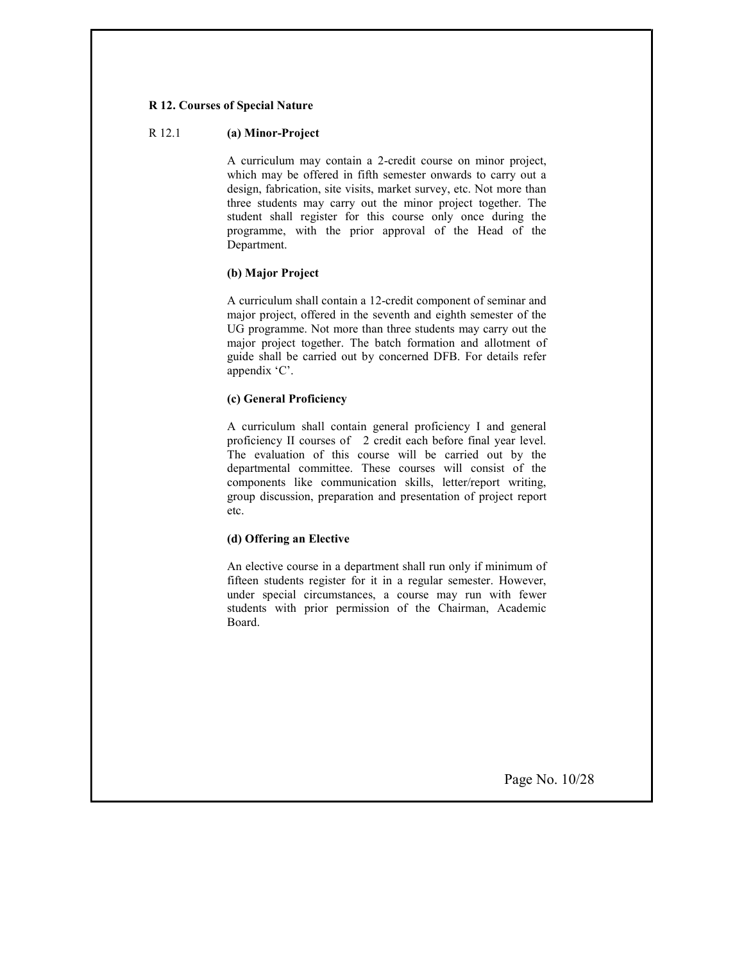#### R 12. Courses of Special Nature

#### R 12.1 (a) Minor-Project

A curriculum may contain a 2-credit course on minor project, which may be offered in fifth semester onwards to carry out a design, fabrication, site visits, market survey, etc. Not more than three students may carry out the minor project together. The student shall register for this course only once during the programme, with the prior approval of the Head of the Department.

#### (b) Major Project

A curriculum shall contain a 12-credit component of seminar and major project, offered in the seventh and eighth semester of the UG programme. Not more than three students may carry out the major project together. The batch formation and allotment of guide shall be carried out by concerned DFB. For details refer appendix 'C'.

#### (c) General Proficiency

A curriculum shall contain general proficiency I and general proficiency II courses of 2 credit each before final year level. The evaluation of this course will be carried out by the departmental committee. These courses will consist of the components like communication skills, letter/report writing, group discussion, preparation and presentation of project report etc.

#### (d) Offering an Elective

An elective course in a department shall run only if minimum of fifteen students register for it in a regular semester. However, under special circumstances, a course may run with fewer students with prior permission of the Chairman, Academic Board.

Page No. 10/28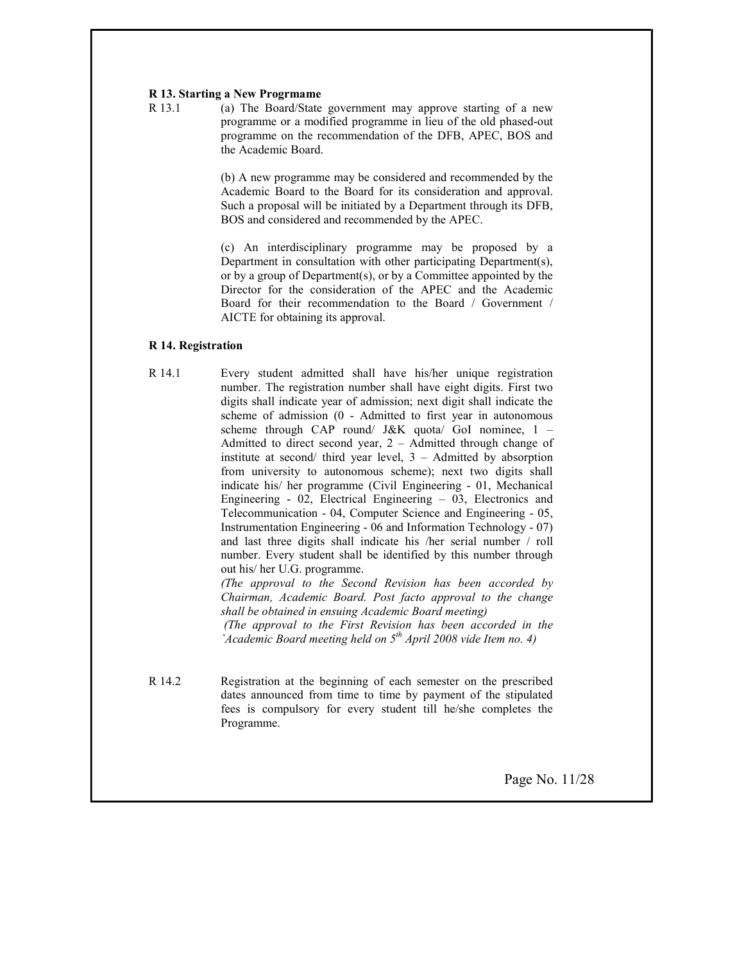#### R 13. Starting a New Progrmame

R 13.1 (a) The Board/State government may approve starting of a new programme or a modified programme in lieu of the old phased-out programme on the recommendation of the DFB, APEC, BOS and the Academic Board.

> (b) A new programme may be considered and recommended by the Academic Board to the Board for its consideration and approval. Such a proposal will be initiated by a Department through its DFB, BOS and considered and recommended by the APEC.

> (c) An interdisciplinary programme may be proposed by a Department in consultation with other participating Department(s), or by a group of Department(s), or by a Committee appointed by the Director for the consideration of the APEC and the Academic Board for their recommendation to the Board / Government / AICTE for obtaining its approval.

#### R 14. Registration

R 14.1 Every student admitted shall have his/her unique registration number. The registration number shall have eight digits. First two digits shall indicate year of admission; next digit shall indicate the scheme of admission (0 - Admitted to first year in autonomous scheme through CAP round/ J&K quota/ GoI nominee,  $1 -$ Admitted to direct second year, 2 – Admitted through change of institute at second/ third year level, 3 – Admitted by absorption from university to autonomous scheme); next two digits shall indicate his/ her programme (Civil Engineering - 01, Mechanical Engineering - 02, Electrical Engineering – 03, Electronics and Telecommunication - 04, Computer Science and Engineering - 05, Instrumentation Engineering - 06 and Information Technology - 07) and last three digits shall indicate his /her serial number / roll number. Every student shall be identified by this number through out his/ her U.G. programme.

(The approval to the Second Revision has been accorded by Chairman, Academic Board. Post facto approval to the change shall be obtained in ensuing Academic Board meeting) (The approval to the First Revision has been accorded in the `Academic Board meeting held on  $5<sup>th</sup>$  April 2008 vide Item no. 4)

R 14.2 Registration at the beginning of each semester on the prescribed dates announced from time to time by payment of the stipulated fees is compulsory for every student till he/she completes the Programme.

Page No. 11/28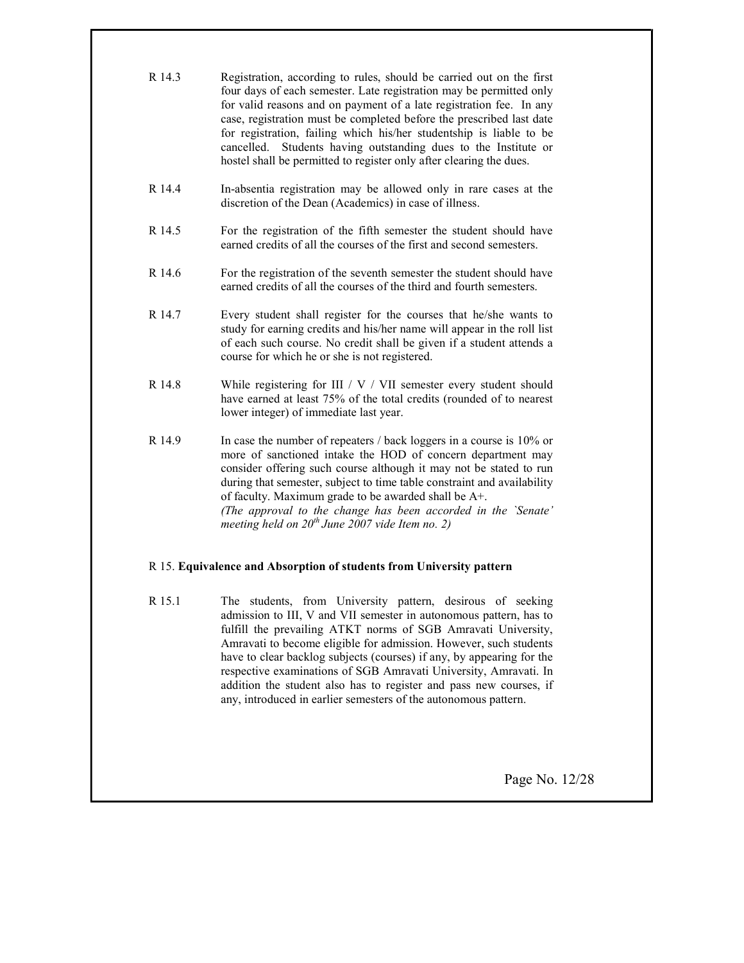| R 14.3 | Registration, according to rules, should be carried out on the first<br>four days of each semester. Late registration may be permitted only<br>for valid reasons and on payment of a late registration fee. In any<br>case, registration must be completed before the prescribed last date<br>for registration, failing which his/her studentship is liable to be<br>cancelled. Students having outstanding dues to the Institute or<br>hostel shall be permitted to register only after clearing the dues. |
|--------|-------------------------------------------------------------------------------------------------------------------------------------------------------------------------------------------------------------------------------------------------------------------------------------------------------------------------------------------------------------------------------------------------------------------------------------------------------------------------------------------------------------|
| R 14.4 | In-absentia registration may be allowed only in rare cases at the<br>discretion of the Dean (Academics) in case of illness.                                                                                                                                                                                                                                                                                                                                                                                 |
| R 14.5 | For the registration of the fifth semester the student should have<br>earned credits of all the courses of the first and second semesters.                                                                                                                                                                                                                                                                                                                                                                  |
| R 14.6 | For the registration of the seventh semester the student should have<br>earned credits of all the courses of the third and fourth semesters.                                                                                                                                                                                                                                                                                                                                                                |
| R 14.7 | Every student shall register for the courses that he/she wants to<br>study for earning credits and his/her name will appear in the roll list<br>of each such course. No credit shall be given if a student attends a<br>course for which he or she is not registered.                                                                                                                                                                                                                                       |
| R 14.8 | While registering for III / $V$ / VII semester every student should<br>have earned at least 75% of the total credits (rounded of to nearest<br>lower integer) of immediate last year.                                                                                                                                                                                                                                                                                                                       |
| R 14.9 | In case the number of repeaters / back loggers in a course is 10% or<br>more of sanctioned intake the HOD of concern department may<br>consider offering such course although it may not be stated to run<br>during that semester, subject to time table constraint and availability<br>of faculty. Maximum grade to be awarded shall be A+.<br>(The approval to the change has been accorded in the `Senate'<br>meeting held on $20^{th}$ June 2007 vide Item no. 2)                                       |
|        | R 15. Equivalence and Absorption of students from University pattern                                                                                                                                                                                                                                                                                                                                                                                                                                        |

R 15.1 The students, from University pattern, desirous of seeking admission to III, V and VII semester in autonomous pattern, has to fulfill the prevailing ATKT norms of SGB Amravati University, Amravati to become eligible for admission. However, such students have to clear backlog subjects (courses) if any, by appearing for the respective examinations of SGB Amravati University, Amravati. In addition the student also has to register and pass new courses, if any, introduced in earlier semesters of the autonomous pattern.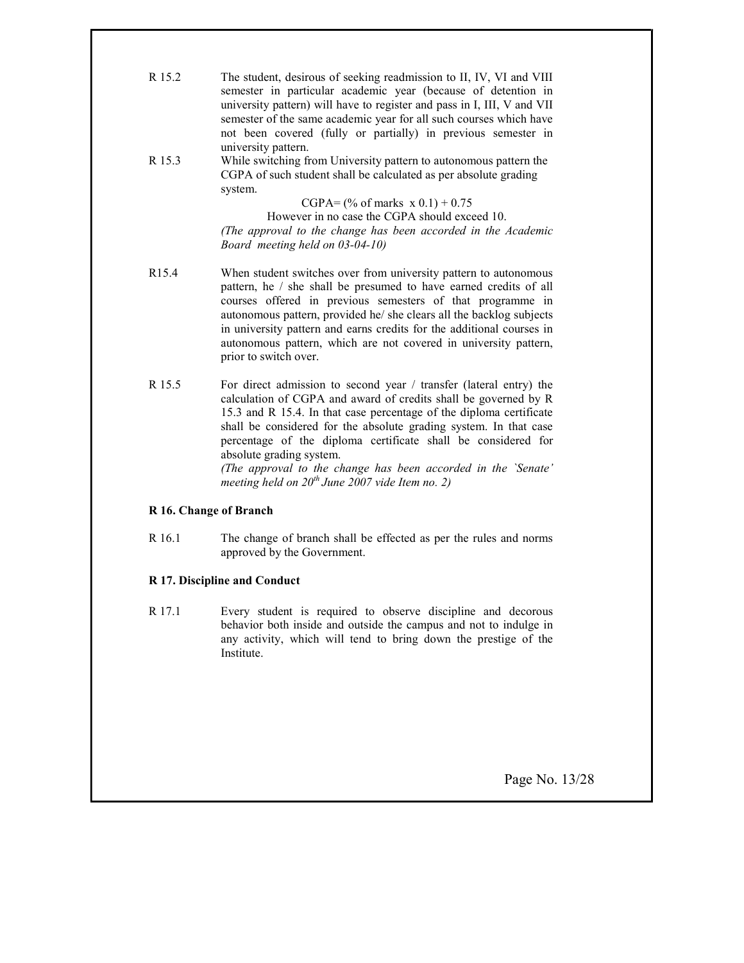| R 15.2            | The student, desirous of seeking readmission to II, IV, VI and VIII                                                                   |
|-------------------|---------------------------------------------------------------------------------------------------------------------------------------|
|                   | semester in particular academic year (because of detention in                                                                         |
|                   | university pattern) will have to register and pass in I, III, V and VII                                                               |
|                   | semester of the same academic year for all such courses which have                                                                    |
|                   | not been covered (fully or partially) in previous semester in                                                                         |
|                   | university pattern.                                                                                                                   |
| R 15.3            | While switching from University pattern to autonomous pattern the<br>CGPA of such student shall be calculated as per absolute grading |
|                   | system.                                                                                                                               |
|                   | CGPA= $(\%$ of marks $x 0.1) + 0.75$                                                                                                  |
|                   | However in no case the CGPA should exceed 10.                                                                                         |
|                   | (The approval to the change has been accorded in the Academic                                                                         |
|                   | Board meeting held on 03-04-10)                                                                                                       |
| R <sub>15.4</sub> | When student switches over from university pattern to autonomous                                                                      |
|                   | pattern, he / she shall be presumed to have earned credits of all                                                                     |
|                   | courses offered in previous semesters of that programme in                                                                            |
|                   | autonomous pattern, provided he/ she clears all the backlog subjects                                                                  |
|                   | in university pattern and earns credits for the additional courses in                                                                 |
|                   | autonomous pattern, which are not covered in university pattern,                                                                      |
|                   | prior to switch over.                                                                                                                 |
| R 15.5            | For direct admission to second year / transfer (lateral entry) the                                                                    |
|                   | calculation of CGPA and award of credits shall be governed by R                                                                       |
|                   | 15.3 and R 15.4. In that case percentage of the diploma certificate                                                                   |
|                   | shall be considered for the absolute grading system. In that case                                                                     |
|                   | percentage of the diploma certificate shall be considered for<br>absolute grading system.                                             |
|                   | (The approval to the change has been accorded in the `Senate'                                                                         |
|                   | meeting held on $20^{th}$ June 2007 vide Item no. 2)                                                                                  |

# R 16. Change of Branch

R 16.1 The change of branch shall be effected as per the rules and norms approved by the Government.

# R 17. Discipline and Conduct

R 17.1 Every student is required to observe discipline and decorous behavior both inside and outside the campus and not to indulge in any activity, which will tend to bring down the prestige of the Institute.

Page No. 13/28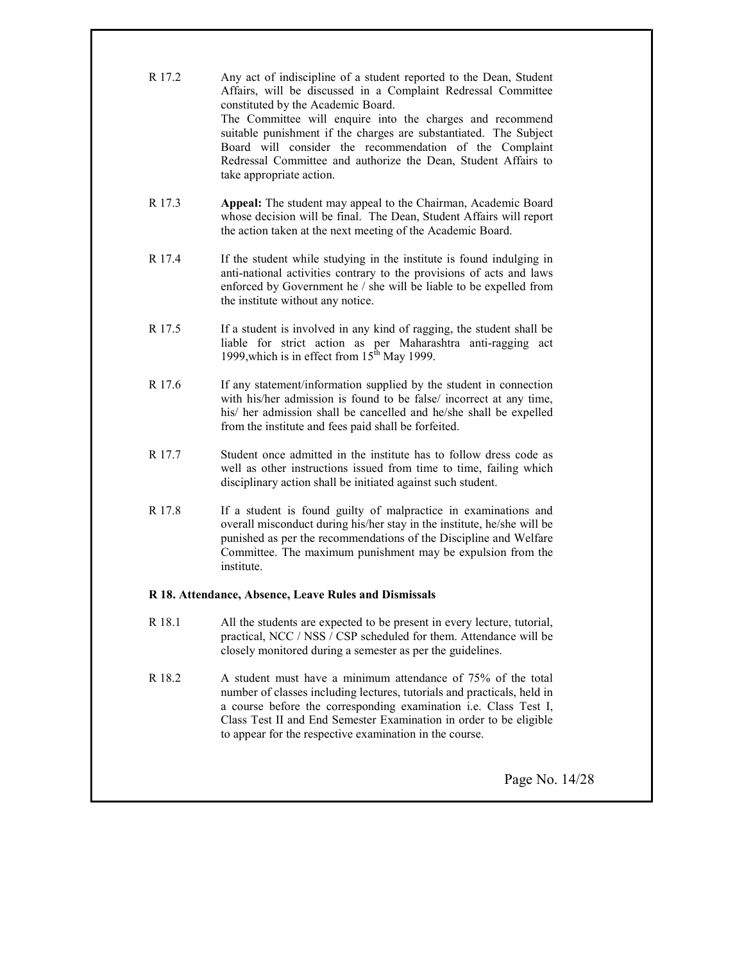| R 17.2 | Any act of indiscipline of a student reported to the Dean, Student<br>Affairs, will be discussed in a Complaint Redressal Committee<br>constituted by the Academic Board.<br>The Committee will enquire into the charges and recommend<br>suitable punishment if the charges are substantiated. The Subject<br>Board will consider the recommendation of the Complaint<br>Redressal Committee and authorize the Dean, Student Affairs to<br>take appropriate action. |  |
|--------|----------------------------------------------------------------------------------------------------------------------------------------------------------------------------------------------------------------------------------------------------------------------------------------------------------------------------------------------------------------------------------------------------------------------------------------------------------------------|--|
| R 17.3 | Appeal: The student may appeal to the Chairman, Academic Board<br>whose decision will be final. The Dean, Student Affairs will report<br>the action taken at the next meeting of the Academic Board.                                                                                                                                                                                                                                                                 |  |
| R 17.4 | If the student while studying in the institute is found indulging in<br>anti-national activities contrary to the provisions of acts and laws<br>enforced by Government he / she will be liable to be expelled from<br>the institute without any notice.                                                                                                                                                                                                              |  |
| R 17.5 | If a student is involved in any kind of ragging, the student shall be<br>liable for strict action as per Maharashtra anti-ragging act<br>1999, which is in effect from 15 <sup>th</sup> May 1999.                                                                                                                                                                                                                                                                    |  |
| R 17.6 | If any statement/information supplied by the student in connection<br>with his/her admission is found to be false/ incorrect at any time,<br>his/ her admission shall be cancelled and he/she shall be expelled<br>from the institute and fees paid shall be forfeited.                                                                                                                                                                                              |  |
| R 17.7 | Student once admitted in the institute has to follow dress code as<br>well as other instructions issued from time to time, failing which<br>disciplinary action shall be initiated against such student.                                                                                                                                                                                                                                                             |  |
| R 17.8 | If a student is found guilty of malpractice in examinations and<br>overall misconduct during his/her stay in the institute, he/she will be<br>punished as per the recommendations of the Discipline and Welfare<br>Committee. The maximum punishment may be expulsion from the<br>institute.                                                                                                                                                                         |  |
|        | R 18. Attendance, Absence, Leave Rules and Dismissals                                                                                                                                                                                                                                                                                                                                                                                                                |  |
| R 18.1 | All the students are expected to be present in every lecture, tutorial,<br>practical, NCC / NSS / CSP scheduled for them. Attendance will be<br>closely monitored during a semester as per the guidelines.                                                                                                                                                                                                                                                           |  |
| R 18.2 | A student must have a minimum attendance of 75% of the total<br>number of classes including lectures, tutorials and practicals, held in<br>a course before the corresponding examination i.e. Class Test I,<br>Class Test II and End Semester Examination in order to be eligible<br>to appear for the respective examination in the course.                                                                                                                         |  |

Page No. 14/28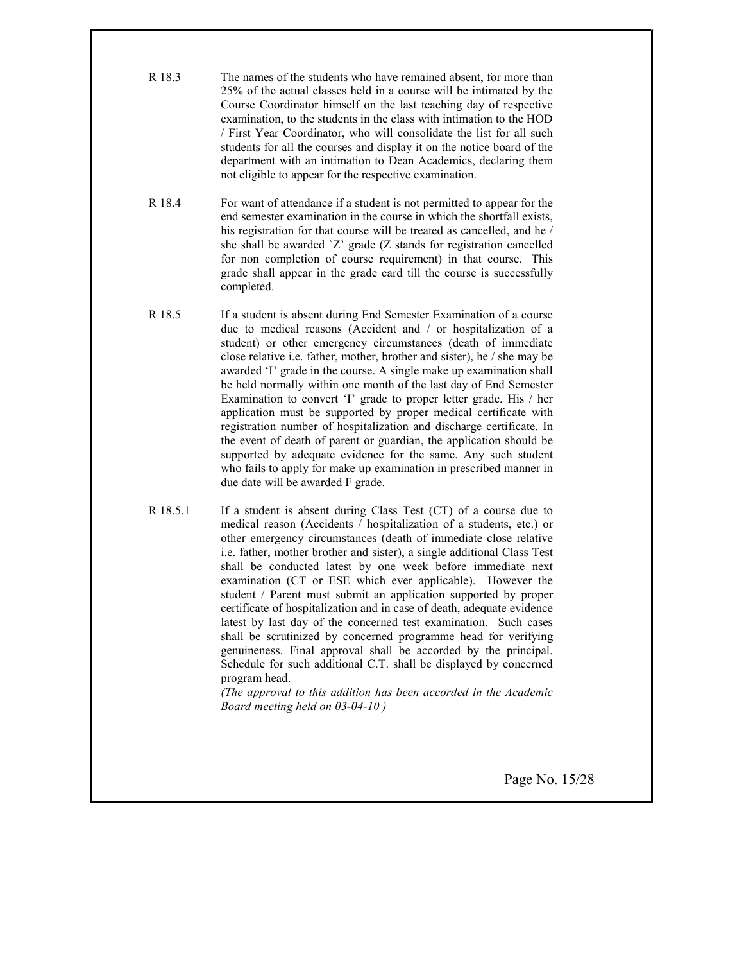- R 18.3 The names of the students who have remained absent, for more than 25% of the actual classes held in a course will be intimated by the Course Coordinator himself on the last teaching day of respective examination, to the students in the class with intimation to the HOD / First Year Coordinator, who will consolidate the list for all such students for all the courses and display it on the notice board of the department with an intimation to Dean Academics, declaring them not eligible to appear for the respective examination.
- R 18.4 For want of attendance if a student is not permitted to appear for the end semester examination in the course in which the shortfall exists, his registration for that course will be treated as cancelled, and he / she shall be awarded `Z' grade (Z stands for registration cancelled for non completion of course requirement) in that course. This grade shall appear in the grade card till the course is successfully completed.
- R 18.5 If a student is absent during End Semester Examination of a course due to medical reasons (Accident and / or hospitalization of a student) or other emergency circumstances (death of immediate close relative i.e. father, mother, brother and sister), he / she may be awarded 'I' grade in the course. A single make up examination shall be held normally within one month of the last day of End Semester Examination to convert 'I' grade to proper letter grade. His / her application must be supported by proper medical certificate with registration number of hospitalization and discharge certificate. In the event of death of parent or guardian, the application should be supported by adequate evidence for the same. Any such student who fails to apply for make up examination in prescribed manner in due date will be awarded F grade.
- R 18.5.1 If a student is absent during Class Test (CT) of a course due to medical reason (Accidents / hospitalization of a students, etc.) or other emergency circumstances (death of immediate close relative i.e. father, mother brother and sister), a single additional Class Test shall be conducted latest by one week before immediate next examination (CT or ESE which ever applicable). However the student / Parent must submit an application supported by proper certificate of hospitalization and in case of death, adequate evidence latest by last day of the concerned test examination. Such cases shall be scrutinized by concerned programme head for verifying genuineness. Final approval shall be accorded by the principal. Schedule for such additional C.T. shall be displayed by concerned program head.

(The approval to this addition has been accorded in the Academic Board meeting held on 03-04-10 )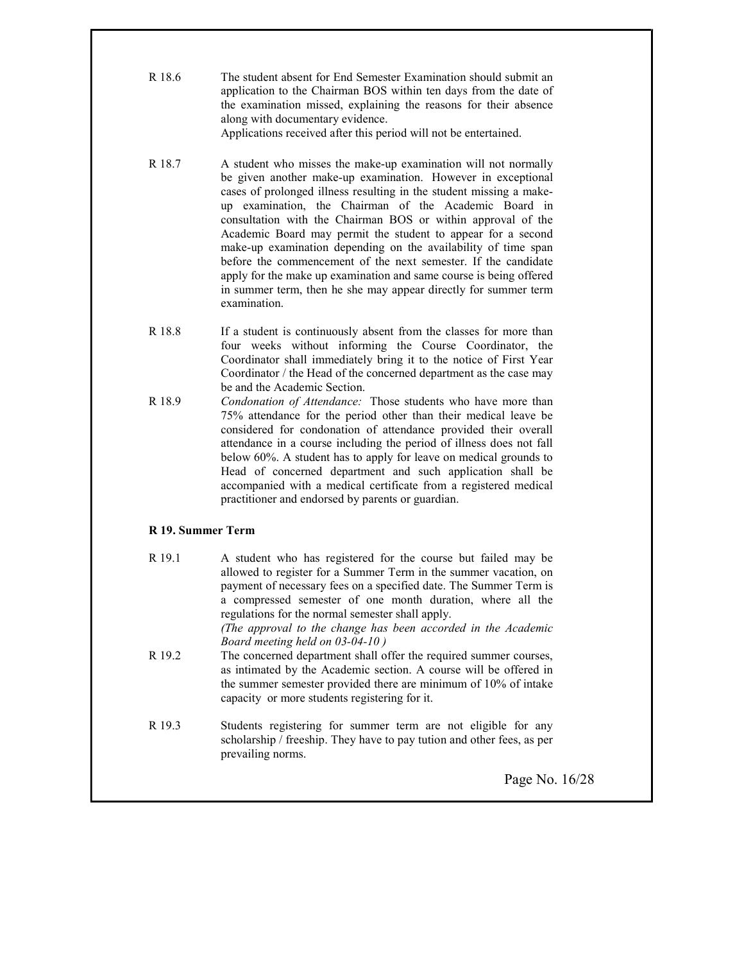R 18.6 The student absent for End Semester Examination should submit an application to the Chairman BOS within ten days from the date of the examination missed, explaining the reasons for their absence along with documentary evidence.

Applications received after this period will not be entertained.

- R 18.7 A student who misses the make-up examination will not normally be given another make-up examination. However in exceptional cases of prolonged illness resulting in the student missing a makeup examination, the Chairman of the Academic Board in consultation with the Chairman BOS or within approval of the Academic Board may permit the student to appear for a second make-up examination depending on the availability of time span before the commencement of the next semester. If the candidate apply for the make up examination and same course is being offered in summer term, then he she may appear directly for summer term examination.
- R 18.8 If a student is continuously absent from the classes for more than four weeks without informing the Course Coordinator, the Coordinator shall immediately bring it to the notice of First Year Coordinator / the Head of the concerned department as the case may be and the Academic Section.
- R 18.9 Condonation of Attendance: Those students who have more than 75% attendance for the period other than their medical leave be considered for condonation of attendance provided their overall attendance in a course including the period of illness does not fall below 60%. A student has to apply for leave on medical grounds to Head of concerned department and such application shall be accompanied with a medical certificate from a registered medical practitioner and endorsed by parents or guardian.

# R 19. Summer Term

R 19.1 A student who has registered for the course but failed may be allowed to register for a Summer Term in the summer vacation, on payment of necessary fees on a specified date. The Summer Term is a compressed semester of one month duration, where all the regulations for the normal semester shall apply. (The approval to the change has been accorded in the Academic Board meeting held on 03-04-10 ) R 19.2 The concerned department shall offer the required summer courses, as intimated by the Academic section. A course will be offered in the summer semester provided there are minimum of 10% of intake capacity or more students registering for it. R 19.3 Students registering for summer term are not eligible for any scholarship / freeship. They have to pay tution and other fees, as per prevailing norms.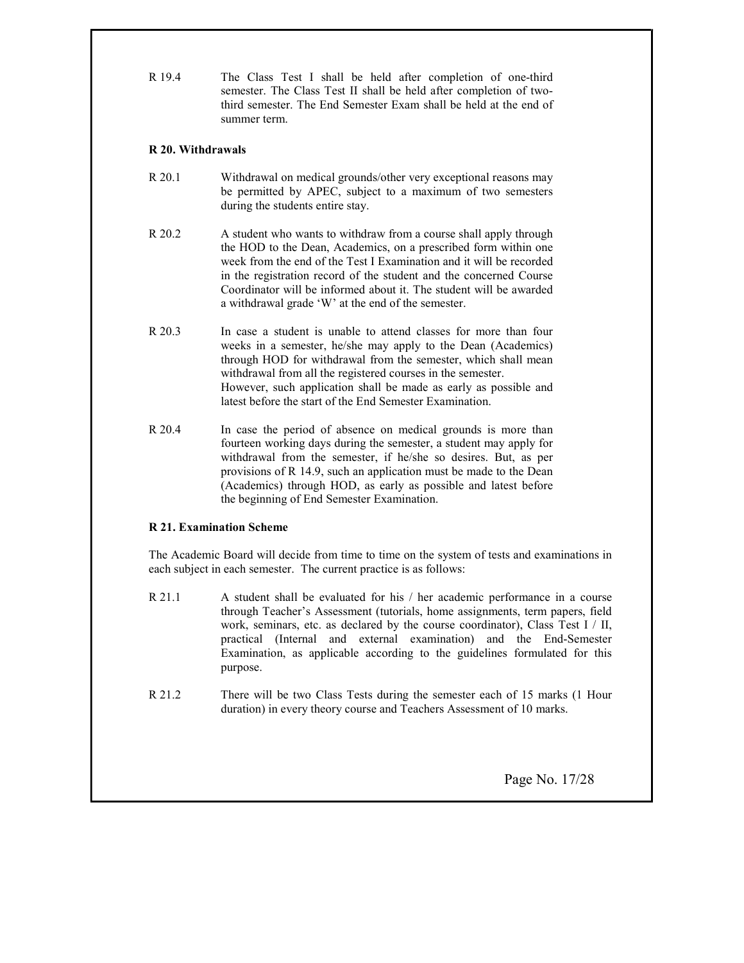R 19.4 The Class Test I shall be held after completion of one-third semester. The Class Test II shall be held after completion of twothird semester. The End Semester Exam shall be held at the end of summer term.

# R 20. Withdrawals

- R 20.1 Withdrawal on medical grounds/other very exceptional reasons may be permitted by APEC, subject to a maximum of two semesters during the students entire stay.
- R 20.2 A student who wants to withdraw from a course shall apply through the HOD to the Dean, Academics, on a prescribed form within one week from the end of the Test I Examination and it will be recorded in the registration record of the student and the concerned Course Coordinator will be informed about it. The student will be awarded a withdrawal grade 'W' at the end of the semester.
- R 20.3 In case a student is unable to attend classes for more than four weeks in a semester, he/she may apply to the Dean (Academics) through HOD for withdrawal from the semester, which shall mean withdrawal from all the registered courses in the semester. However, such application shall be made as early as possible and latest before the start of the End Semester Examination.
- R 20.4 In case the period of absence on medical grounds is more than fourteen working days during the semester, a student may apply for withdrawal from the semester, if he/she so desires. But, as per provisions of R 14.9, such an application must be made to the Dean (Academics) through HOD, as early as possible and latest before the beginning of End Semester Examination.

# R 21. Examination Scheme

The Academic Board will decide from time to time on the system of tests and examinations in each subject in each semester. The current practice is as follows:

- R 21.1 A student shall be evaluated for his / her academic performance in a course through Teacher's Assessment (tutorials, home assignments, term papers, field work, seminars, etc. as declared by the course coordinator), Class Test  $I / II$ , practical (Internal and external examination) and the End-Semester Examination, as applicable according to the guidelines formulated for this purpose.
- R 21.2 There will be two Class Tests during the semester each of 15 marks (1 Hour duration) in every theory course and Teachers Assessment of 10 marks.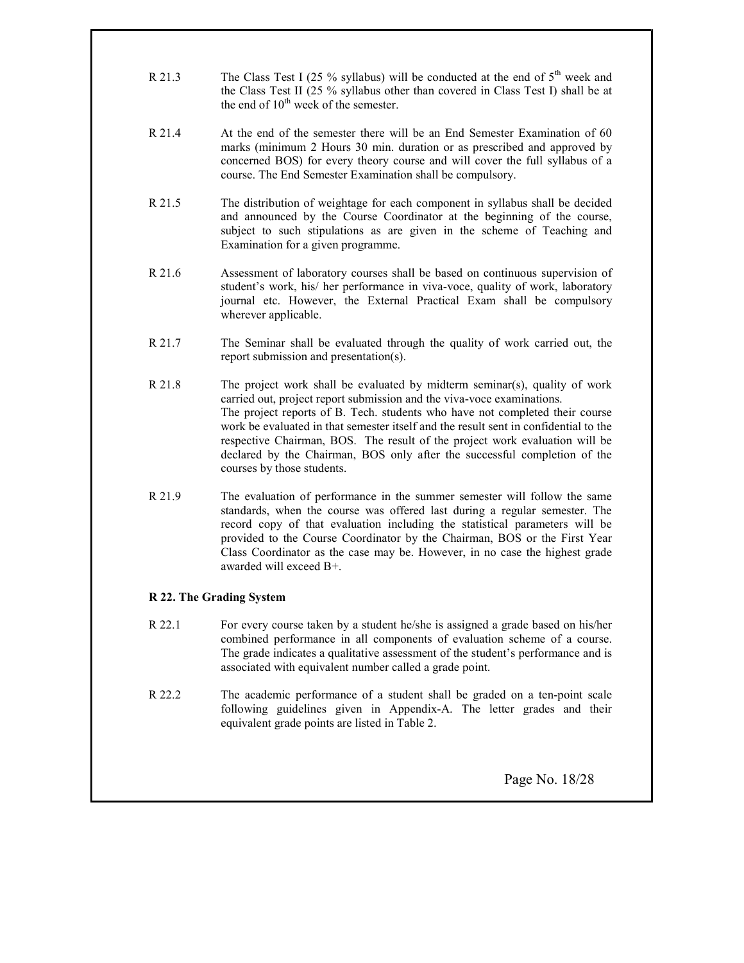- R 21.3 The Class Test I (25 % syllabus) will be conducted at the end of  $5<sup>th</sup>$  week and the Class Test II (25 % syllabus other than covered in Class Test I) shall be at the end of  $10^{th}$  week of the semester.
- R 21.4 At the end of the semester there will be an End Semester Examination of 60 marks (minimum 2 Hours 30 min. duration or as prescribed and approved by concerned BOS) for every theory course and will cover the full syllabus of a course. The End Semester Examination shall be compulsory.
- R 21.5 The distribution of weightage for each component in syllabus shall be decided and announced by the Course Coordinator at the beginning of the course, subject to such stipulations as are given in the scheme of Teaching and Examination for a given programme.
- R 21.6 Assessment of laboratory courses shall be based on continuous supervision of student's work, his/ her performance in viva-voce, quality of work, laboratory journal etc. However, the External Practical Exam shall be compulsory wherever applicable.
- R 21.7 The Seminar shall be evaluated through the quality of work carried out, the report submission and presentation(s).
- $R<sub>21.8</sub>$  The project work shall be evaluated by midterm seminar(s), quality of work carried out, project report submission and the viva-voce examinations. The project reports of B. Tech. students who have not completed their course work be evaluated in that semester itself and the result sent in confidential to the respective Chairman, BOS. The result of the project work evaluation will be declared by the Chairman, BOS only after the successful completion of the courses by those students.
- R 21.9 The evaluation of performance in the summer semester will follow the same standards, when the course was offered last during a regular semester. The record copy of that evaluation including the statistical parameters will be provided to the Course Coordinator by the Chairman, BOS or the First Year Class Coordinator as the case may be. However, in no case the highest grade awarded will exceed B+.

# R 22. The Grading System

- R 22.1 For every course taken by a student he/she is assigned a grade based on his/her combined performance in all components of evaluation scheme of a course. The grade indicates a qualitative assessment of the student's performance and is associated with equivalent number called a grade point.
- R 22.2 The academic performance of a student shall be graded on a ten-point scale following guidelines given in Appendix-A. The letter grades and their equivalent grade points are listed in Table 2.

Page No. 18/28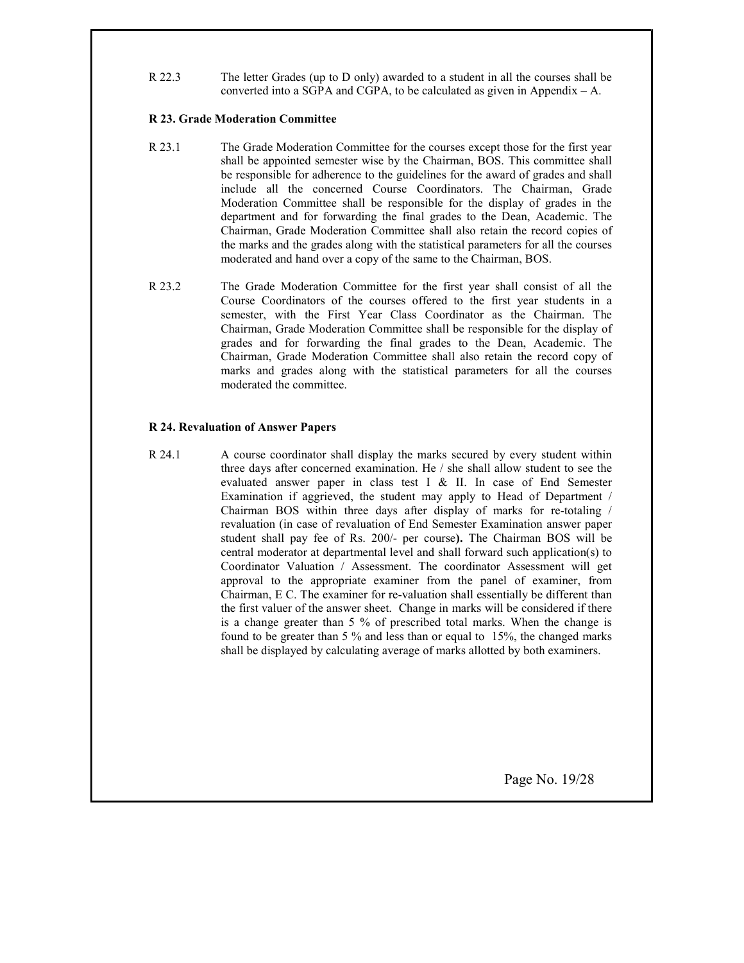R 22.3 The letter Grades (up to D only) awarded to a student in all the courses shall be converted into a SGPA and CGPA, to be calculated as given in Appendix – A.

#### R 23. Grade Moderation Committee

- R 23.1 The Grade Moderation Committee for the courses except those for the first year shall be appointed semester wise by the Chairman, BOS. This committee shall be responsible for adherence to the guidelines for the award of grades and shall include all the concerned Course Coordinators. The Chairman, Grade Moderation Committee shall be responsible for the display of grades in the department and for forwarding the final grades to the Dean, Academic. The Chairman, Grade Moderation Committee shall also retain the record copies of the marks and the grades along with the statistical parameters for all the courses moderated and hand over a copy of the same to the Chairman, BOS.
- R 23.2 The Grade Moderation Committee for the first year shall consist of all the Course Coordinators of the courses offered to the first year students in a semester, with the First Year Class Coordinator as the Chairman. The Chairman, Grade Moderation Committee shall be responsible for the display of grades and for forwarding the final grades to the Dean, Academic. The Chairman, Grade Moderation Committee shall also retain the record copy of marks and grades along with the statistical parameters for all the courses moderated the committee.

#### R 24. Revaluation of Answer Papers

R 24.1 A course coordinator shall display the marks secured by every student within three days after concerned examination. He / she shall allow student to see the evaluated answer paper in class test I & II. In case of End Semester Examination if aggrieved, the student may apply to Head of Department / Chairman BOS within three days after display of marks for re-totaling / revaluation (in case of revaluation of End Semester Examination answer paper student shall pay fee of Rs. 200/- per course). The Chairman BOS will be central moderator at departmental level and shall forward such application(s) to Coordinator Valuation / Assessment. The coordinator Assessment will get approval to the appropriate examiner from the panel of examiner, from Chairman, E C. The examiner for re-valuation shall essentially be different than the first valuer of the answer sheet. Change in marks will be considered if there is a change greater than 5 % of prescribed total marks. When the change is found to be greater than 5 % and less than or equal to 15%, the changed marks shall be displayed by calculating average of marks allotted by both examiners.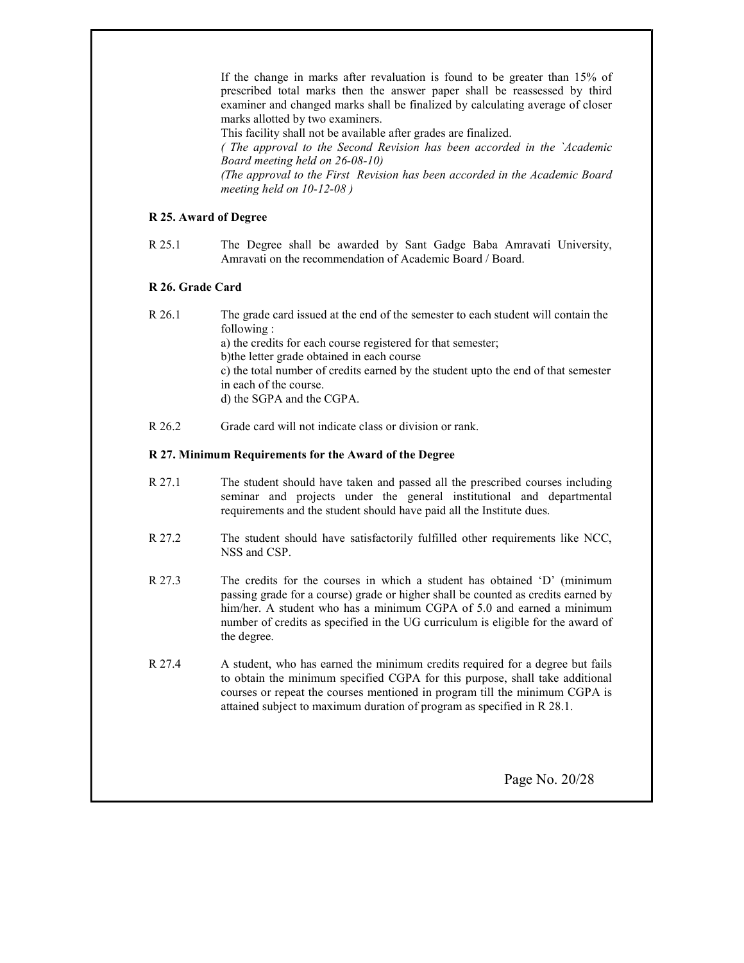If the change in marks after revaluation is found to be greater than 15% of prescribed total marks then the answer paper shall be reassessed by third examiner and changed marks shall be finalized by calculating average of closer marks allotted by two examiners.

This facility shall not be available after grades are finalized.

( The approval to the Second Revision has been accorded in the `Academic Board meeting held on 26-08-10)

(The approval to the First Revision has been accorded in the Academic Board meeting held on 10-12-08 )

# R 25. Award of Degree

R 25.1 The Degree shall be awarded by Sant Gadge Baba Amravati University, Amravati on the recommendation of Academic Board / Board.

# R 26. Grade Card

- R 26.1 The grade card issued at the end of the semester to each student will contain the following : a) the credits for each course registered for that semester; b)the letter grade obtained in each course c) the total number of credits earned by the student upto the end of that semester in each of the course. d) the SGPA and the CGPA.
- R 26.2 Grade card will not indicate class or division or rank.

#### R 27. Minimum Requirements for the Award of the Degree

- R 27.1 The student should have taken and passed all the prescribed courses including seminar and projects under the general institutional and departmental requirements and the student should have paid all the Institute dues.
- R 27.2 The student should have satisfactorily fulfilled other requirements like NCC, NSS and CSP.
- R 27.3 The credits for the courses in which a student has obtained 'D' (minimum passing grade for a course) grade or higher shall be counted as credits earned by him/her. A student who has a minimum CGPA of 5.0 and earned a minimum number of credits as specified in the UG curriculum is eligible for the award of the degree.
- R 27.4 A student, who has earned the minimum credits required for a degree but fails to obtain the minimum specified CGPA for this purpose, shall take additional courses or repeat the courses mentioned in program till the minimum CGPA is attained subject to maximum duration of program as specified in R 28.1.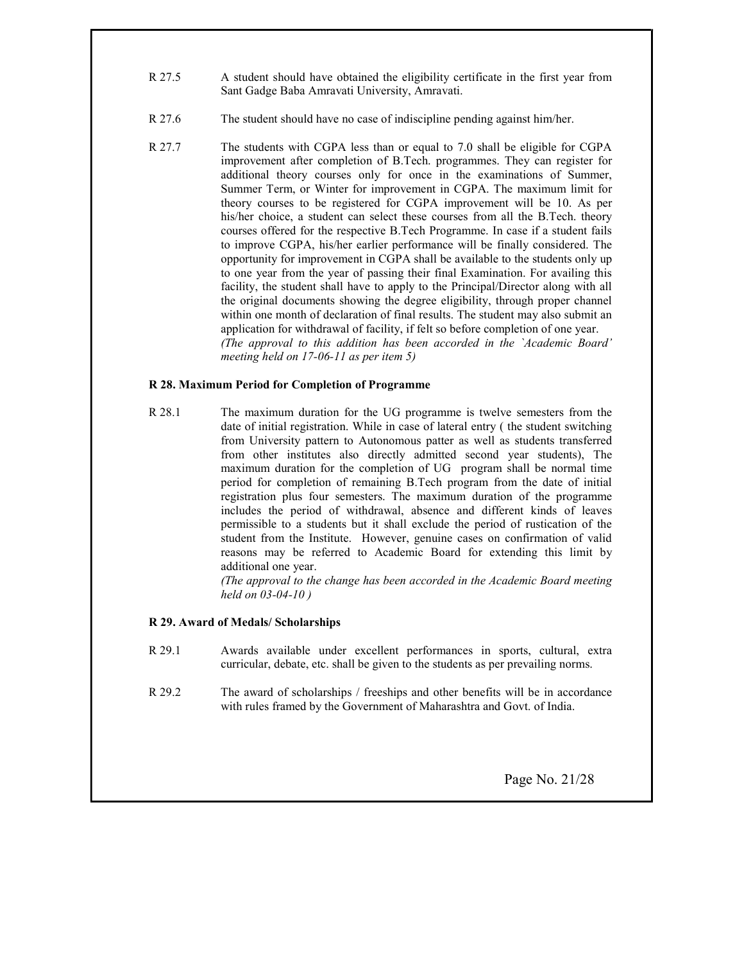- R 27.5 A student should have obtained the eligibility certificate in the first year from Sant Gadge Baba Amravati University, Amravati.
- R 27.6 The student should have no case of indiscipline pending against him/her.
- R 27.7 The students with CGPA less than or equal to 7.0 shall be eligible for CGPA improvement after completion of B.Tech. programmes. They can register for additional theory courses only for once in the examinations of Summer, Summer Term, or Winter for improvement in CGPA. The maximum limit for theory courses to be registered for CGPA improvement will be 10. As per his/her choice, a student can select these courses from all the B.Tech. theory courses offered for the respective B.Tech Programme. In case if a student fails to improve CGPA, his/her earlier performance will be finally considered. The opportunity for improvement in CGPA shall be available to the students only up to one year from the year of passing their final Examination. For availing this facility, the student shall have to apply to the Principal/Director along with all the original documents showing the degree eligibility, through proper channel within one month of declaration of final results. The student may also submit an application for withdrawal of facility, if felt so before completion of one year. (The approval to this addition has been accorded in the `Academic Board' meeting held on 17-06-11 as per item 5)

# R 28. Maximum Period for Completion of Programme

R 28.1 The maximum duration for the UG programme is twelve semesters from the date of initial registration. While in case of lateral entry ( the student switching from University pattern to Autonomous patter as well as students transferred from other institutes also directly admitted second year students), The maximum duration for the completion of UG program shall be normal time period for completion of remaining B.Tech program from the date of initial registration plus four semesters. The maximum duration of the programme includes the period of withdrawal, absence and different kinds of leaves permissible to a students but it shall exclude the period of rustication of the student from the Institute. However, genuine cases on confirmation of valid reasons may be referred to Academic Board for extending this limit by additional one year.

(The approval to the change has been accorded in the Academic Board meeting held on 03-04-10 )

# R 29. Award of Medals/ Scholarships

- R 29.1 Awards available under excellent performances in sports, cultural, extra curricular, debate, etc. shall be given to the students as per prevailing norms.
- R 29.2 The award of scholarships / freeships and other benefits will be in accordance with rules framed by the Government of Maharashtra and Govt. of India.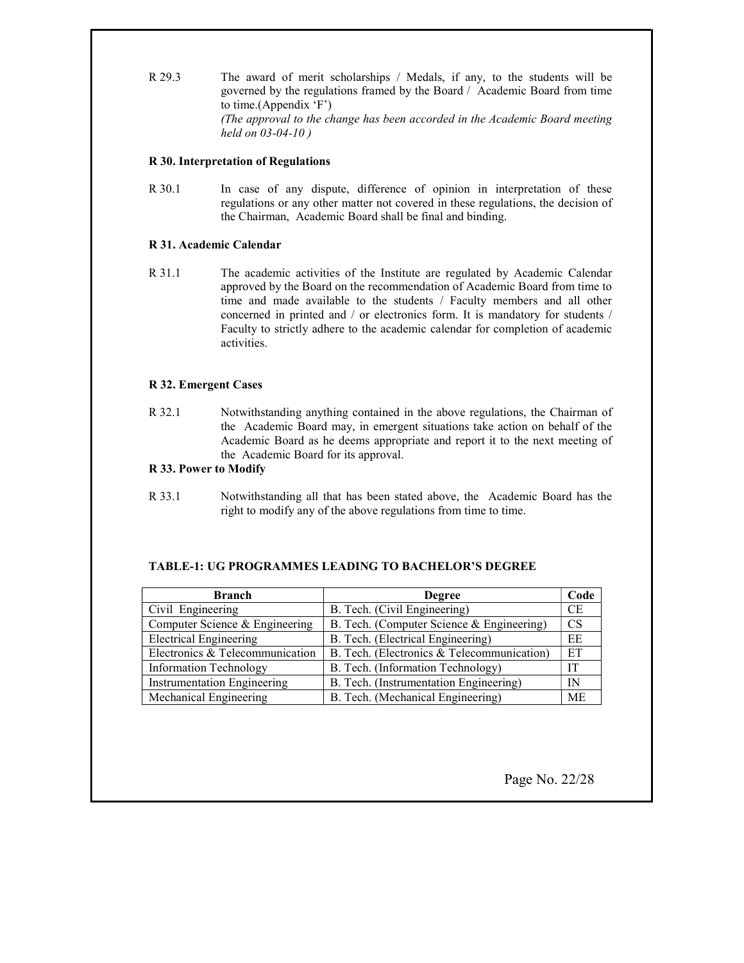R 29.3 The award of merit scholarships / Medals, if any, to the students will be governed by the regulations framed by the Board / Academic Board from time to time.(Appendix 'F') (The approval to the change has been accorded in the Academic Board meeting held on 03-04-10 )

## R 30. Interpretation of Regulations

R 30.1 In case of any dispute, difference of opinion in interpretation of these regulations or any other matter not covered in these regulations, the decision of the Chairman, Academic Board shall be final and binding.

# R 31. Academic Calendar

R 31.1 The academic activities of the Institute are regulated by Academic Calendar approved by the Board on the recommendation of Academic Board from time to time and made available to the students / Faculty members and all other concerned in printed and / or electronics form. It is mandatory for students / Faculty to strictly adhere to the academic calendar for completion of academic activities.

# R 32. Emergent Cases

R 32.1 Notwithstanding anything contained in the above regulations, the Chairman of the Academic Board may, in emergent situations take action on behalf of the Academic Board as he deems appropriate and report it to the next meeting of the Academic Board for its approval.

## R 33. Power to Modify

R 33.1 Notwithstanding all that has been stated above, the Academic Board has the right to modify any of the above regulations from time to time.

# TABLE-1: UG PROGRAMMES LEADING TO BACHELOR'S DEGREE

| <b>Branch</b>                      | <b>Degree</b>                              |           |
|------------------------------------|--------------------------------------------|-----------|
| Civil Engineering                  | B. Tech. (Civil Engineering)               | <b>CE</b> |
| Computer Science & Engineering     | B. Tech. (Computer Science & Engineering)  | <b>CS</b> |
| <b>Electrical Engineering</b>      | B. Tech. (Electrical Engineering)          | EE        |
| Electronics & Telecommunication    | B. Tech. (Electronics & Telecommunication) | ET        |
| <b>Information Technology</b>      | B. Tech. (Information Technology)          | IТ        |
| <b>Instrumentation Engineering</b> | B. Tech. (Instrumentation Engineering)     | IN        |
| Mechanical Engineering             | B. Tech. (Mechanical Engineering)          | <b>ME</b> |

Page No. 22/28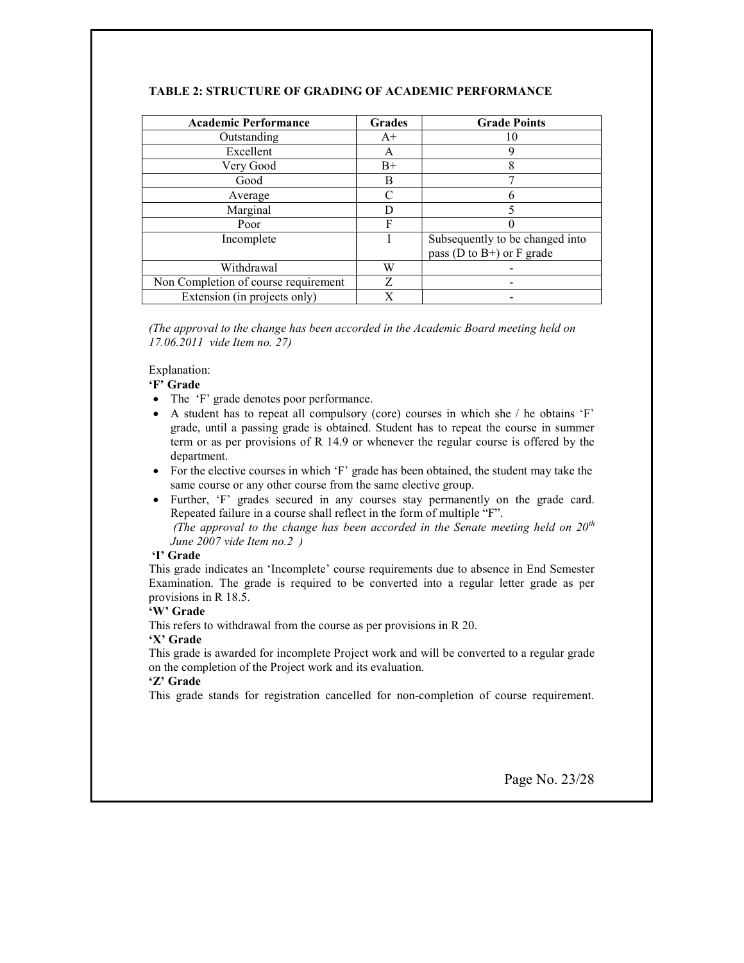| <b>Academic Performance</b>          | Grades    | <b>Grade Points</b>             |
|--------------------------------------|-----------|---------------------------------|
| Outstanding                          | $A+$      | 10                              |
| Excellent                            | A         | g                               |
| Very Good                            | $B+$      | 8                               |
| Good                                 | В         |                                 |
| Average                              | $\subset$ |                                 |
| Marginal                             | D         |                                 |
| Poor                                 | F         |                                 |
| Incomplete                           |           | Subsequently to be changed into |
|                                      |           | pass ( $D$ to $B+$ ) or F grade |
| Withdrawal                           | W         |                                 |
| Non Completion of course requirement | Z         |                                 |
| Extension (in projects only)         | X         |                                 |

# TABLE 2: STRUCTURE OF GRADING OF ACADEMIC PERFORMANCE

(The approval to the change has been accorded in the Academic Board meeting held on 17.06.2011 vide Item no. 27)

Explanation:

# 'F' Grade

- The 'F' grade denotes poor performance.
- A student has to repeat all compulsory (core) courses in which she / he obtains 'F' grade, until a passing grade is obtained. Student has to repeat the course in summer term or as per provisions of R 14.9 or whenever the regular course is offered by the department.
- For the elective courses in which 'F' grade has been obtained, the student may take the same course or any other course from the same elective group.
- Further, 'F' grades secured in any courses stay permanently on the grade card. Repeated failure in a course shall reflect in the form of multiple "F". (The approval to the change has been accorded in the Senate meeting held on  $20<sup>th</sup>$

June 2007 vide Item no.2 )

# 'I' Grade

This grade indicates an 'Incomplete' course requirements due to absence in End Semester Examination. The grade is required to be converted into a regular letter grade as per provisions in R 18.5.

# 'W' Grade

This refers to withdrawal from the course as per provisions in R 20.

# 'X' Grade

This grade is awarded for incomplete Project work and will be converted to a regular grade on the completion of the Project work and its evaluation.

# 'Z' Grade

This grade stands for registration cancelled for non-completion of course requirement.

Page No. 23/28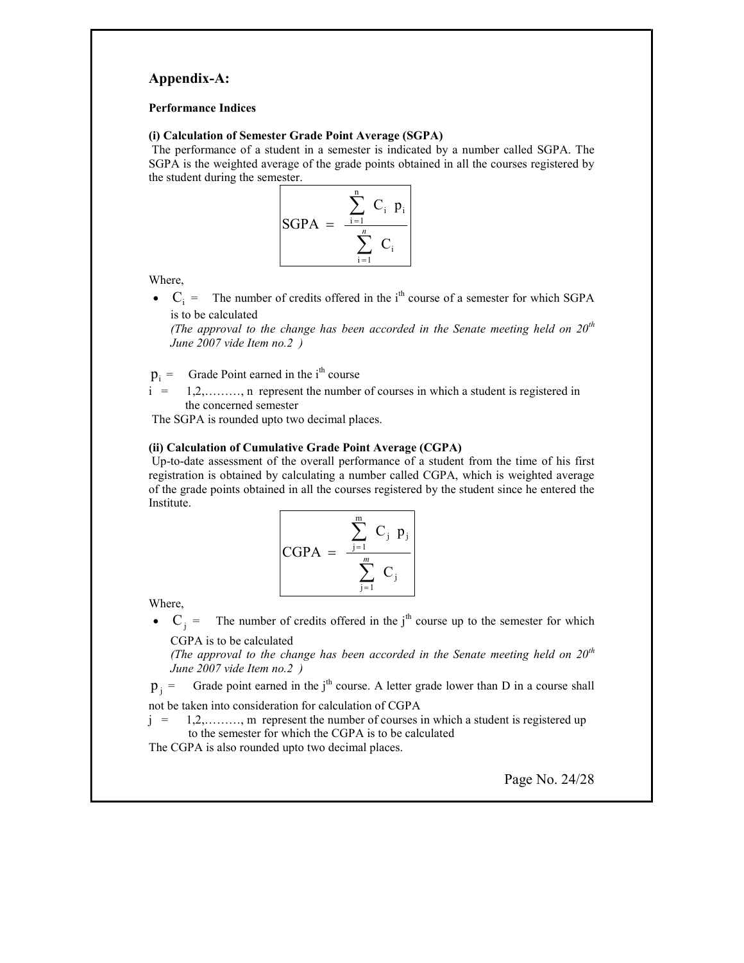# Appendix-A:

#### Performance Indices

#### (i) Calculation of Semester Grade Point Average (SGPA)

The performance of a student in a semester is indicated by a number called SGPA. The SGPA is the weighted average of the grade points obtained in all the courses registered by the student during the semester.



Where,

•  $C_i$  = The number of credits offered in the i<sup>th</sup> course of a semester for which SGPA is to be calculated

(The approval to the change has been accorded in the Senate meeting held on  $20^{th}$ June 2007 vide Item no.2 )

 $p_i =$ Grade Point earned in the i<sup>th</sup> course

 $i = 1,2,......,n$  represent the number of courses in which a student is registered in the concerned semester

The SGPA is rounded upto two decimal places.

#### (ii) Calculation of Cumulative Grade Point Average (CGPA)

Up-to-date assessment of the overall performance of a student from the time of his first registration is obtained by calculating a number called CGPA, which is weighted average of the grade points obtained in all the courses registered by the student since he entered the Institute.

$$
\begin{bmatrix}\n\text{CGPA} = \frac{\sum_{j=1}^{m} C_j \ p_j}{\sum_{j=1}^{m} C_j}\n\end{bmatrix}
$$

Where,

•  $C_j$  = The number of credits offered in the j<sup>th</sup> course up to the semester for which CGPA is to be calculated

(The approval to the change has been accorded in the Senate meeting held on  $20^{th}$ June 2007 vide Item no.2 )

 $p_i$  = Grade point earned in the j<sup>th</sup> course. A letter grade lower than D in a course shall not be taken into consideration for calculation of CGPA

 $j = 1,2,......,$  m represent the number of courses in which a student is registered up to the semester for which the CGPA is to be calculated

The CGPA is also rounded upto two decimal places.

Page No. 24/28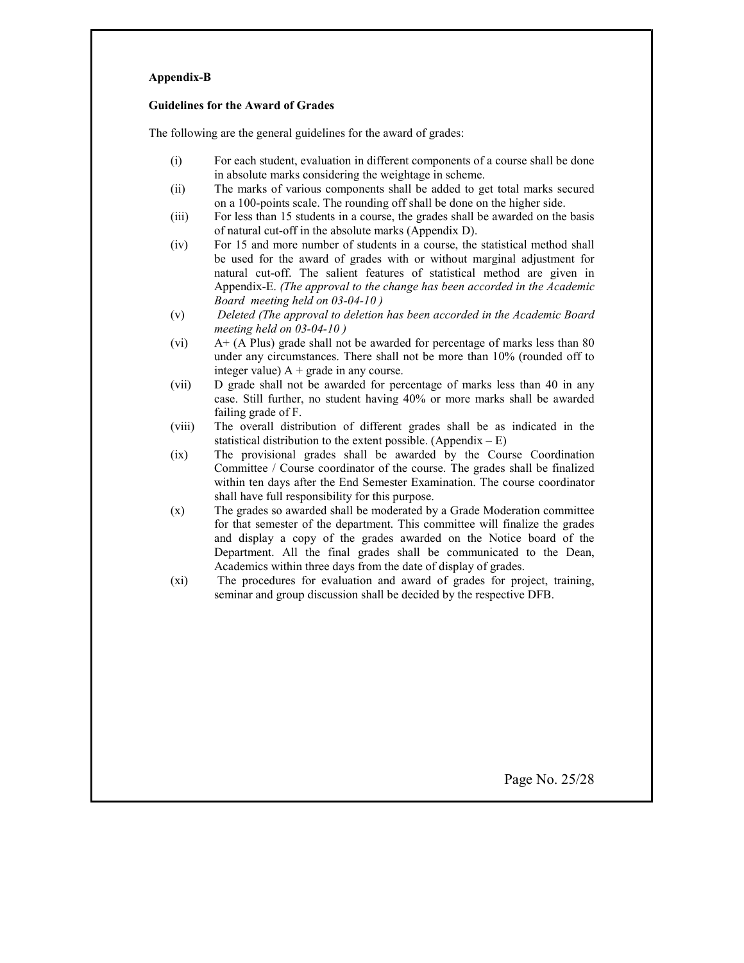#### Appendix-B

#### Guidelines for the Award of Grades

The following are the general guidelines for the award of grades:

- (i) For each student, evaluation in different components of a course shall be done in absolute marks considering the weightage in scheme.
- (ii) The marks of various components shall be added to get total marks secured on a 100-points scale. The rounding off shall be done on the higher side.
- (iii) For less than 15 students in a course, the grades shall be awarded on the basis of natural cut-off in the absolute marks (Appendix D).
- (iv) For 15 and more number of students in a course, the statistical method shall be used for the award of grades with or without marginal adjustment for natural cut-off. The salient features of statistical method are given in Appendix-E. (The approval to the change has been accorded in the Academic Board meeting held on 03-04-10 )
- (v) Deleted (The approval to deletion has been accorded in the Academic Board meeting held on 03-04-10 )
- (vi) A+ (A Plus) grade shall not be awarded for percentage of marks less than 80 under any circumstances. There shall not be more than 10% (rounded off to integer value)  $A + grad$ e in any course.
- (vii) D grade shall not be awarded for percentage of marks less than 40 in any case. Still further, no student having 40% or more marks shall be awarded failing grade of F.
- (viii) The overall distribution of different grades shall be as indicated in the statistical distribution to the extent possible. (Appendix  $-E$ )
- (ix) The provisional grades shall be awarded by the Course Coordination Committee / Course coordinator of the course. The grades shall be finalized within ten days after the End Semester Examination. The course coordinator shall have full responsibility for this purpose.
- (x) The grades so awarded shall be moderated by a Grade Moderation committee for that semester of the department. This committee will finalize the grades and display a copy of the grades awarded on the Notice board of the Department. All the final grades shall be communicated to the Dean, Academics within three days from the date of display of grades.
- (xi) The procedures for evaluation and award of grades for project, training, seminar and group discussion shall be decided by the respective DFB.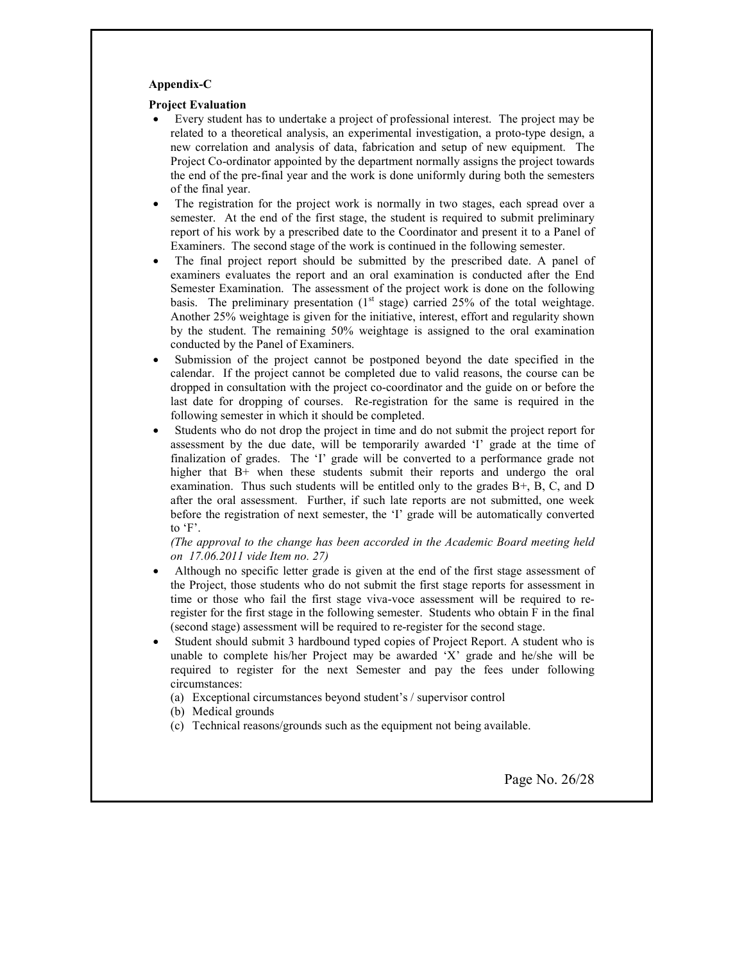#### Appendix-C

#### Project Evaluation

- Every student has to undertake a project of professional interest. The project may be related to a theoretical analysis, an experimental investigation, a proto-type design, a new correlation and analysis of data, fabrication and setup of new equipment. The Project Co-ordinator appointed by the department normally assigns the project towards the end of the pre-final year and the work is done uniformly during both the semesters of the final year.
- The registration for the project work is normally in two stages, each spread over a semester. At the end of the first stage, the student is required to submit preliminary report of his work by a prescribed date to the Coordinator and present it to a Panel of Examiners. The second stage of the work is continued in the following semester.
- The final project report should be submitted by the prescribed date. A panel of examiners evaluates the report and an oral examination is conducted after the End Semester Examination. The assessment of the project work is done on the following basis. The preliminary presentation  $(1<sup>st</sup> stage)$  carried 25% of the total weightage. Another 25% weightage is given for the initiative, interest, effort and regularity shown by the student. The remaining 50% weightage is assigned to the oral examination conducted by the Panel of Examiners.
- Submission of the project cannot be postponed beyond the date specified in the calendar. If the project cannot be completed due to valid reasons, the course can be dropped in consultation with the project co-coordinator and the guide on or before the last date for dropping of courses. Re-registration for the same is required in the following semester in which it should be completed.
- Students who do not drop the project in time and do not submit the project report for assessment by the due date, will be temporarily awarded 'I' grade at the time of finalization of grades. The 'I' grade will be converted to a performance grade not higher that B+ when these students submit their reports and undergo the oral examination. Thus such students will be entitled only to the grades B+, B, C, and D after the oral assessment. Further, if such late reports are not submitted, one week before the registration of next semester, the 'I' grade will be automatically converted to 'F'.

#### (The approval to the change has been accorded in the Academic Board meeting held on 17.06.2011 vide Item no. 27)

- Although no specific letter grade is given at the end of the first stage assessment of the Project, those students who do not submit the first stage reports for assessment in time or those who fail the first stage viva-voce assessment will be required to reregister for the first stage in the following semester. Students who obtain F in the final (second stage) assessment will be required to re-register for the second stage.
- Student should submit 3 hardbound typed copies of Project Report. A student who is unable to complete his/her Project may be awarded 'X' grade and he/she will be required to register for the next Semester and pay the fees under following circumstances:
	- (a) Exceptional circumstances beyond student's / supervisor control
	- (b) Medical grounds
	- (c) Technical reasons/grounds such as the equipment not being available.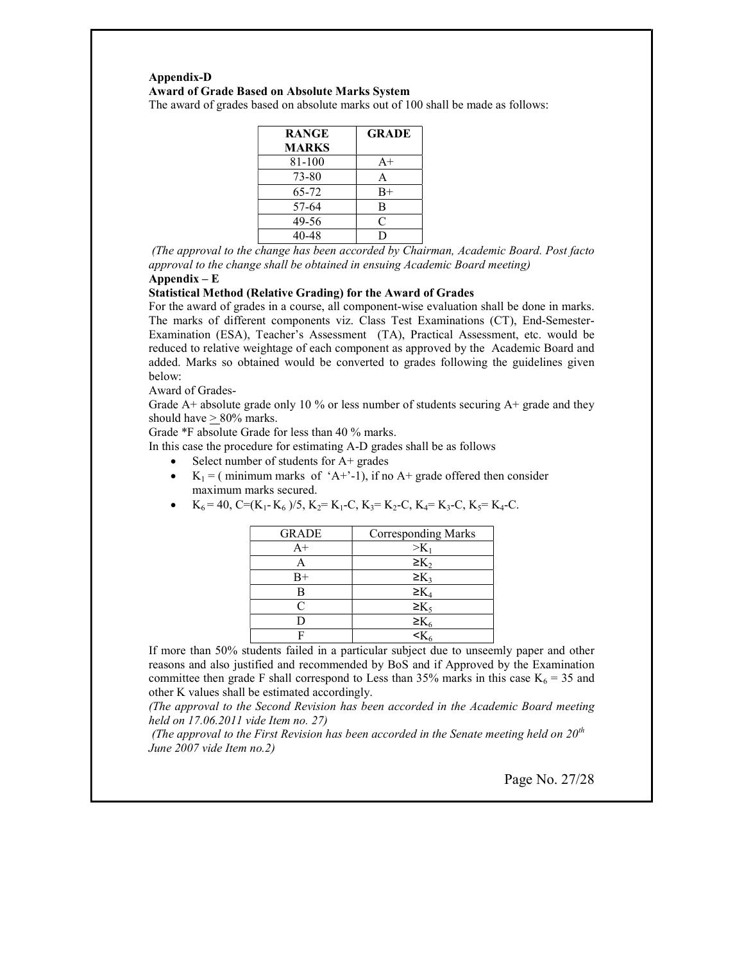# Appendix-D Award of Grade Based on Absolute Marks System

The award of grades based on absolute marks out of 100 shall be made as follows:

| <b>RANGE</b> | <b>GRADE</b> |
|--------------|--------------|
| <b>MARKS</b> |              |
| 81-100       | $A+$         |
| 73-80        | A            |
| 65-72        | $B+$         |
| 57-64        | В            |
| 49-56        | C            |
| 40-48        |              |

 (The approval to the change has been accorded by Chairman, Academic Board. Post facto approval to the change shall be obtained in ensuing Academic Board meeting)

#### Appendix – E

#### Statistical Method (Relative Grading) for the Award of Grades

For the award of grades in a course, all component-wise evaluation shall be done in marks. The marks of different components viz. Class Test Examinations (CT), End-Semester-Examination (ESA), Teacher's Assessment (TA), Practical Assessment, etc. would be reduced to relative weightage of each component as approved by the Academic Board and added. Marks so obtained would be converted to grades following the guidelines given below:

Award of Grades-

Grade A+ absolute grade only 10 % or less number of students securing  $A<sup>+</sup>$  grade and they should have > 80% marks.

Grade \*F absolute Grade for less than 40 % marks.

In this case the procedure for estimating A-D grades shall be as follows

- $\bullet$  Select number of students for A+ grades
- $K_1 = (minimum marks of 'A+-1), if no A+ grade offered then consider$ maximum marks secured.
	- GRADE | Corresponding Marks  $A^+$  >K<sub>1</sub> A  $\geq K_2$  $B^+$   $\geq K_3$ B  $\geq K_4$  $C \geq K_5$ D  $\geq K_6$ F  $\leq K_6$
- $K_6 = 40$ , C=(K<sub>1</sub>-K<sub>6</sub>)/5, K<sub>2</sub>= K<sub>1</sub>-C, K<sub>3</sub>= K<sub>2</sub>-C, K<sub>4</sub>= K<sub>3</sub>-C, K<sub>5</sub>= K<sub>4</sub>-C.

If more than 50% students failed in a particular subject due to unseemly paper and other reasons and also justified and recommended by BoS and if Approved by the Examination committee then grade F shall correspond to Less than 35% marks in this case  $K_6 = 35$  and other K values shall be estimated accordingly.

(The approval to the Second Revision has been accorded in the Academic Board meeting held on 17.06.2011 vide Item no. 27)

(The approval to the First Revision has been accorded in the Senate meeting held on  $20^{th}$ June 2007 vide Item no.2)

Page No. 27/28